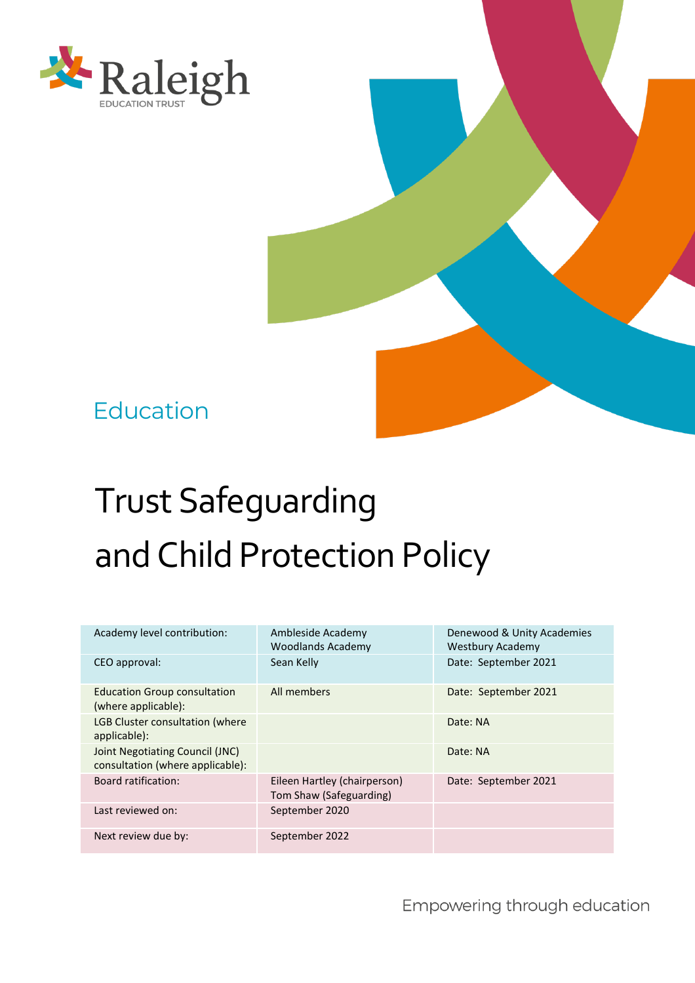

## Education

# Trust Safeguarding and Child Protection Policy

| Academy level contribution:                                         | Ambleside Academy<br><b>Woodlands Academy</b>           | Denewood & Unity Academies<br><b>Westbury Academy</b> |  |
|---------------------------------------------------------------------|---------------------------------------------------------|-------------------------------------------------------|--|
| CEO approval:                                                       | Sean Kelly                                              | Date: September 2021                                  |  |
| <b>Education Group consultation</b><br>(where applicable):          | All members                                             | Date: September 2021                                  |  |
| <b>LGB Cluster consultation (where</b><br>applicable):              |                                                         | Date: NA                                              |  |
| Joint Negotiating Council (JNC)<br>consultation (where applicable): |                                                         | Date: NA                                              |  |
| <b>Board ratification:</b>                                          | Eileen Hartley (chairperson)<br>Tom Shaw (Safeguarding) | Date: September 2021                                  |  |
| Last reviewed on:                                                   | September 2020                                          |                                                       |  |
| Next review due by:                                                 | September 2022                                          |                                                       |  |

Empowering through education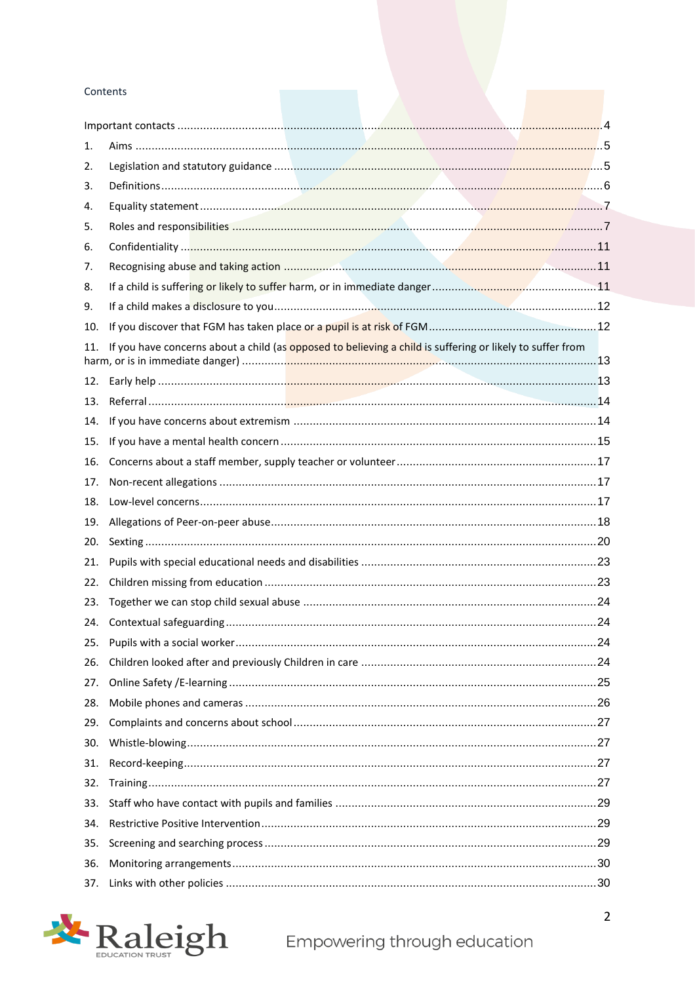#### Contents

| 1.<br>2. |                                                                                                           |  |
|----------|-----------------------------------------------------------------------------------------------------------|--|
| 3.       |                                                                                                           |  |
|          |                                                                                                           |  |
| 4.       |                                                                                                           |  |
| 5.       |                                                                                                           |  |
| 6.       |                                                                                                           |  |
| 7.       |                                                                                                           |  |
| 8.       |                                                                                                           |  |
| 9.       |                                                                                                           |  |
| 10.      |                                                                                                           |  |
| 11.      | If you have concerns about a child (as opposed to believing a child is suffering or likely to suffer from |  |
| 12.      |                                                                                                           |  |
| 13.      |                                                                                                           |  |
| 14.      |                                                                                                           |  |
| 15.      |                                                                                                           |  |
| 16.      |                                                                                                           |  |
| 17.      |                                                                                                           |  |
| 18.      |                                                                                                           |  |
| 19.      |                                                                                                           |  |
| 20.      |                                                                                                           |  |
| 21.      |                                                                                                           |  |
| 22.      |                                                                                                           |  |
| 23.      |                                                                                                           |  |
| 24.      |                                                                                                           |  |
| 25.      |                                                                                                           |  |
| 26.      |                                                                                                           |  |
| 27.      |                                                                                                           |  |
| 28.      |                                                                                                           |  |
| 29.      |                                                                                                           |  |
| 30.      |                                                                                                           |  |
| 31.      |                                                                                                           |  |
| 32.      |                                                                                                           |  |
| 33.      |                                                                                                           |  |
| 34.      |                                                                                                           |  |
| 35.      |                                                                                                           |  |
| 36.      |                                                                                                           |  |
| 37.      |                                                                                                           |  |

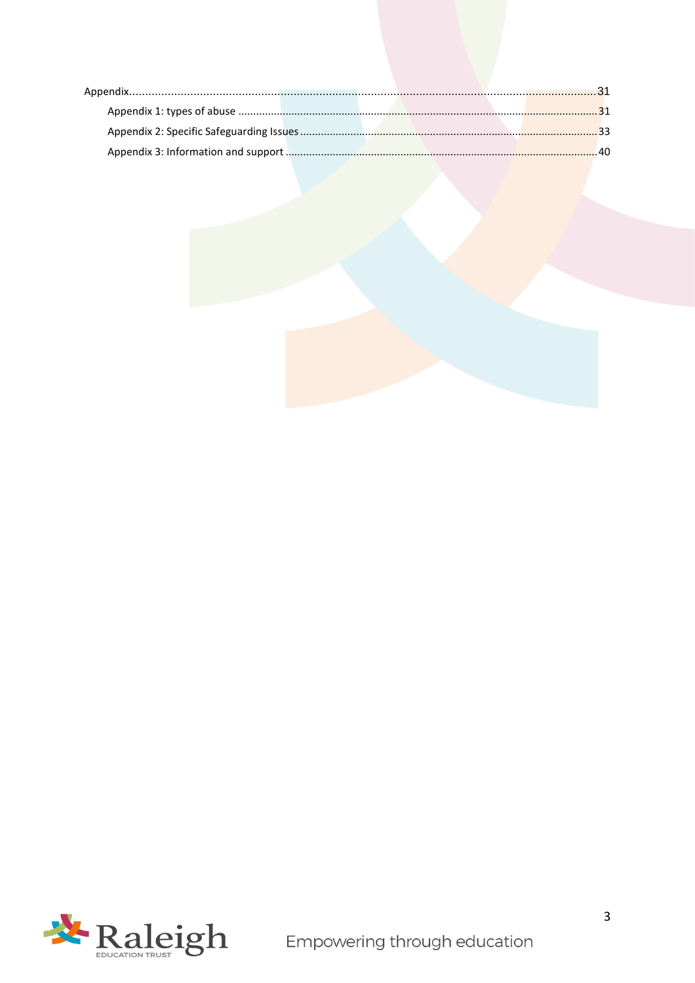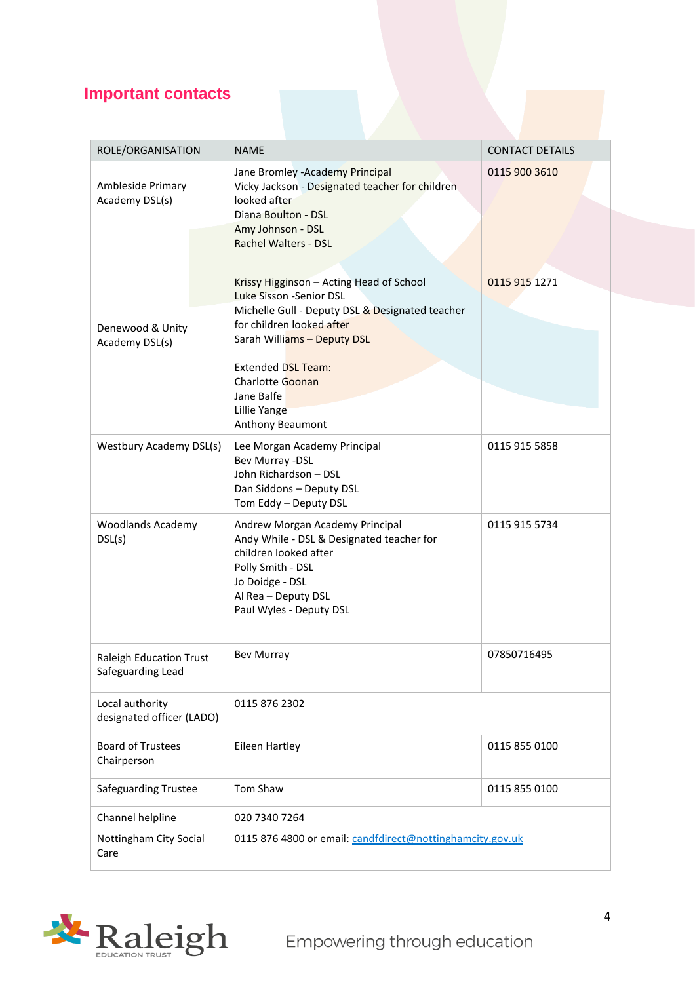## <span id="page-3-0"></span>**Important contacts**

| ROLE/ORGANISATION                                   | <b>NAME</b>                                                                                                                                                                                                                                                                                  | <b>CONTACT DETAILS</b> |  |
|-----------------------------------------------------|----------------------------------------------------------------------------------------------------------------------------------------------------------------------------------------------------------------------------------------------------------------------------------------------|------------------------|--|
| Ambleside Primary<br>Academy DSL(s)                 | Jane Bromley - Academy Principal<br>Vicky Jackson - Designated teacher for children<br>looked after<br>Diana Boulton - DSL<br>Amy Johnson - DSL<br>Rachel Walters - DSL                                                                                                                      | 0115 900 3610          |  |
| Denewood & Unity<br>Academy DSL(s)                  | Krissy Higginson - Acting Head of School<br>Luke Sisson -Senior DSL<br>Michelle Gull - Deputy DSL & Designated teacher<br>for children looked after<br>Sarah Williams - Deputy DSL<br><b>Extended DSL Team:</b><br><b>Charlotte Goonan</b><br>Jane Balfe<br>Lillie Yange<br>Anthony Beaumont | 0115 915 1271          |  |
| Westbury Academy DSL(s)                             | Lee Morgan Academy Principal<br>Bev Murray -DSL<br>John Richardson - DSL<br>Dan Siddons - Deputy DSL<br>Tom Eddy - Deputy DSL                                                                                                                                                                | 0115 915 5858          |  |
| <b>Woodlands Academy</b><br>DSL(s)                  | Andrew Morgan Academy Principal<br>Andy While - DSL & Designated teacher for<br>children looked after<br>Polly Smith - DSL<br>Jo Doidge - DSL<br>Al Rea - Deputy DSL<br>Paul Wyles - Deputy DSL                                                                                              | 0115 915 5734          |  |
| <b>Raleigh Education Trust</b><br>Safeguarding Lead | <b>Bev Murray</b>                                                                                                                                                                                                                                                                            | 07850716495            |  |
| Local authority<br>designated officer (LADO)        | 0115 876 2302                                                                                                                                                                                                                                                                                |                        |  |
| <b>Board of Trustees</b><br>Chairperson             | Eileen Hartley                                                                                                                                                                                                                                                                               | 0115 855 0100          |  |
| <b>Safeguarding Trustee</b>                         | <b>Tom Shaw</b>                                                                                                                                                                                                                                                                              | 0115 855 0100          |  |
| Channel helpline<br>Nottingham City Social<br>Care  | 020 7340 7264<br>0115 876 4800 or email: candfdirect@nottinghamcity.gov.uk                                                                                                                                                                                                                   |                        |  |

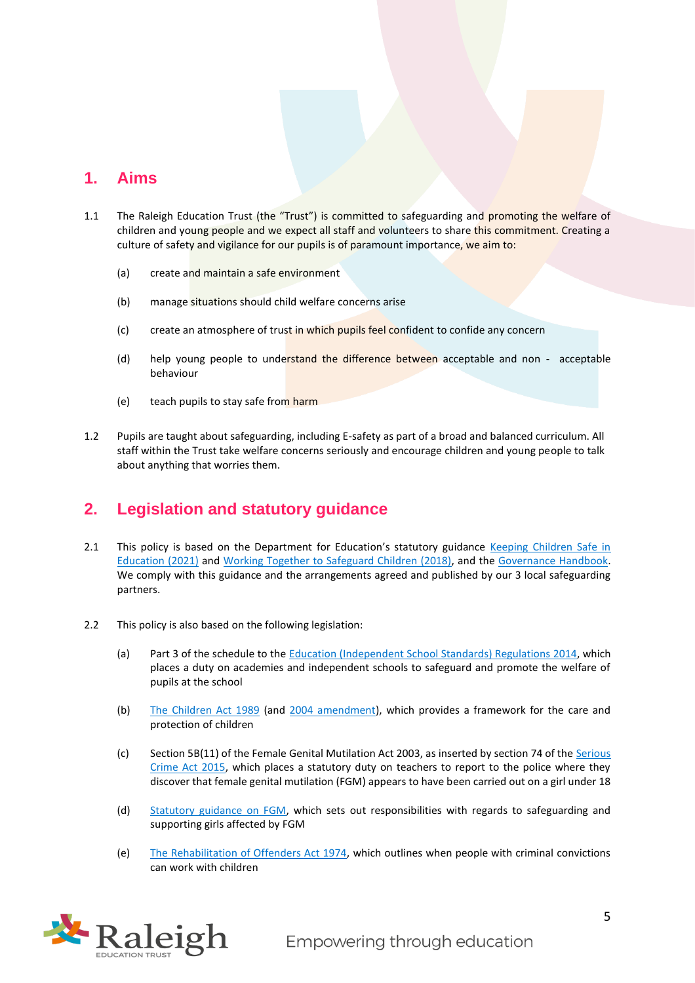## <span id="page-4-0"></span>**1. Aims**

- 1.1 The Raleigh Education Trust (the "Trust") is committed to safeguarding and promoting the welfare of children and young people and we expect all staff and volunteers to share this commitment. Creating a culture of safety and vigilance for our pupils is of paramount importance, we aim to:
	- (a) create and maintain a safe environment
	- (b) manage situations should child welfare concerns arise
	- (c) create an atmosphere of trust in which pupils feel confident to confide any concern
	- (d) help young people to understand the difference between acceptable and non acceptable behaviour
	- (e) teach pupils to stay safe from harm
- 1.2 Pupils are taught about safeguarding, including E-safety as part of a broad and balanced curriculum. All staff within the Trust take welfare concerns seriously and encourage children and young people to talk about anything that worries them.

## <span id="page-4-1"></span>**2. Legislation and statutory guidance**

- 2.1 This policy is based on the Department for Education's statutory guidance Keeping Children Safe in [Education \(2021\)](https://assets.publishing.service.gov.uk/government/uploads/system/uploads/attachment_data/file/1007260/Keeping_children_safe_in_education_2021.pdf) and [Working Together to Safeguard Children \(2018\),](https://www.gov.uk/government/publications/working-together-to-safeguard-children--2) and the [Governance Handbook.](https://www.gov.uk/government/publications/governance-handbook) We comply with this guidance and the arrangements agreed and published by our 3 local safeguarding partners.
- 2.2 This policy is also based on the following legislation:
	- (a) Part 3 of the schedule to the [Education \(Independent School Standards\) Regulations 2014,](http://www.legislation.gov.uk/uksi/2014/3283/schedule/part/3/made) which places a duty on academies and independent schools to safeguard and promote the welfare of pupils at the school
	- (b) [The Children Act 1989](http://www.legislation.gov.uk/ukpga/1989/41) (and [2004 amendment\)](http://www.legislation.gov.uk/ukpga/2004/31/contents), which provides a framework for the care and protection of children
	- (c) Section 5B(11) of the Female Genital Mutilation Act 2003, as inserted by section 74 of the [Serious](http://www.legislation.gov.uk/ukpga/2015/9/part/5/crossheading/female-genital-mutilation)  [Crime Act 2015,](http://www.legislation.gov.uk/ukpga/2015/9/part/5/crossheading/female-genital-mutilation) which places a statutory duty on teachers to report to the police where they discover that female genital mutilation (FGM) appears to have been carried out on a girl under 18
	- (d) [Statutory guidance on FGM,](https://www.gov.uk/government/publications/multi-agency-statutory-guidance-on-female-genital-mutilation) which sets out responsibilities with regards to safeguarding and supporting girls affected by FGM
	- (e) [The Rehabilitation of Offenders Act 1974,](http://www.legislation.gov.uk/ukpga/1974/53) which outlines when people with criminal convictions can work with children

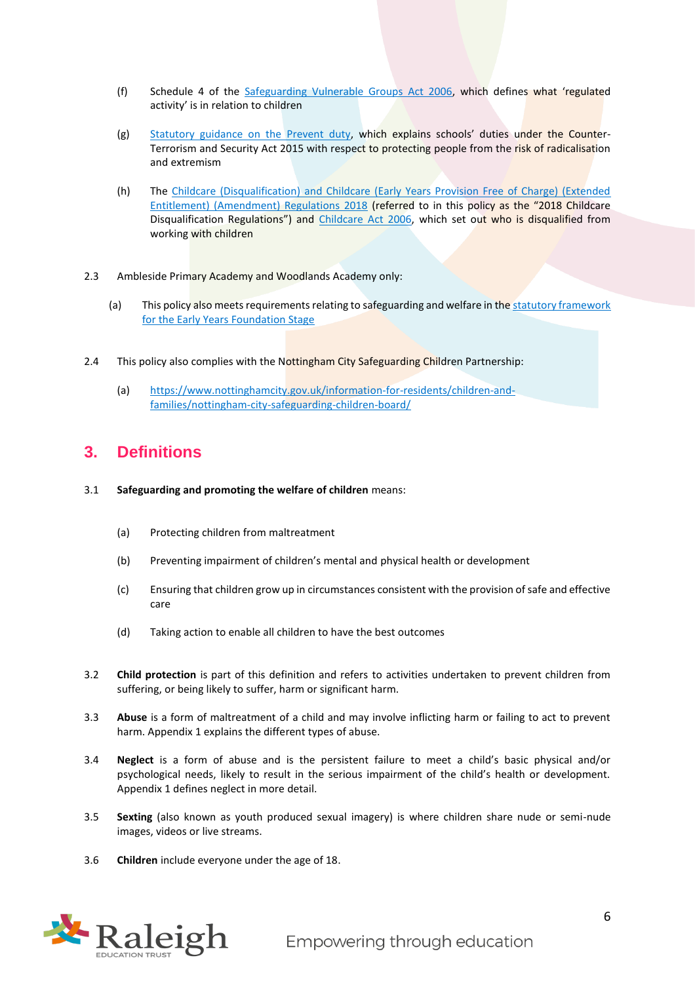- (f) Schedule 4 of the [Safeguarding Vulnerable Groups Act 2006](http://www.legislation.gov.uk/ukpga/2006/47/schedule/4), which defines what 'regulated activity' is in relation to children
- (g) [Statutory guidance on the Prevent duty](https://www.gov.uk/government/publications/prevent-duty-guidance), which explains schools' duties under the Counter-Terrorism and Security Act 2015 with respect to protecting people from the risk of radicalisation and extremism
- (h) The [Childcare \(Disqualification\) and Childcare \(Early Years Provision Free of Charge\) \(Extended](http://www.legislation.gov.uk/uksi/2018/794/contents/made)  [Entitlement\) \(Amendment\) Regulations 2018](http://www.legislation.gov.uk/uksi/2018/794/contents/made) (referred to in this policy as the "2018 Childcare Disqualification Regulations") and [Childcare Act 2006,](http://www.legislation.gov.uk/ukpga/2006/21/contents) which set out who is disqualified from working with children
- 2.3 Ambleside Primary Academy and Woodlands Academy only:
	- (a) This policy also meets requirements relating to safeguarding and welfare in the statutory framework [for the Early Years Foundation Stage](https://www.gov.uk/government/publications/early-years-foundation-stage-framework--2)
- 2.4 This policy also complies with the Nottingham City Safeguarding Children Partnership:
	- (a) [https://www.nottinghamcity.gov.uk/information-for-residents/children-and](https://www.nottinghamcity.gov.uk/information-for-residents/children-and-families/nottingham-city-safeguarding-children-board/)[families/nottingham-city-safeguarding-children-board/](https://www.nottinghamcity.gov.uk/information-for-residents/children-and-families/nottingham-city-safeguarding-children-board/)

## <span id="page-5-0"></span>**3. Definitions**

- 3.1 **Safeguarding and promoting the welfare of children** means:
	- (a) Protecting children from maltreatment
	- (b) Preventing impairment of children's mental and physical health or development
	- (c) Ensuring that children grow up in circumstances consistent with the provision of safe and effective care
	- (d) Taking action to enable all children to have the best outcomes
- 3.2 **Child protection** is part of this definition and refers to activities undertaken to prevent children from suffering, or being likely to suffer, harm or significant harm.
- 3.3 **Abuse** is a form of maltreatment of a child and may involve inflicting harm or failing to act to prevent harm. Appendix 1 explains the different types of abuse.
- 3.4 **Neglect** is a form of abuse and is the persistent failure to meet a child's basic physical and/or psychological needs, likely to result in the serious impairment of the child's health or development. Appendix 1 defines neglect in more detail.
- 3.5 **Sexting** (also known as youth produced sexual imagery) is where children share nude or semi-nude images, videos or live streams.
- 3.6 **Children** include everyone under the age of 18.

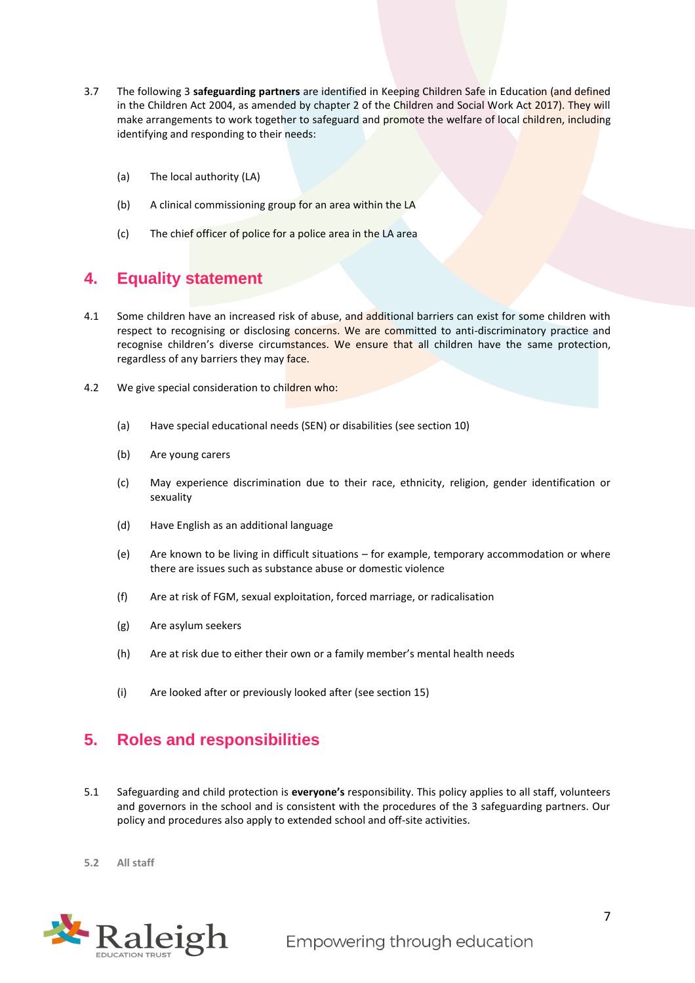- 3.7 The following 3 **safeguarding partners** are identified in Keeping Children Safe in Education (and defined in the Children Act 2004, as amended by chapter 2 of the Children and Social Work Act 2017). They will make arrangements to work together to safeguard and promote the welfare of local children, including identifying and responding to their needs:
	- (a) The local authority (LA)
	- (b) A clinical commissioning group for an area within the LA
	- (c) The chief officer of police for a police area in the LA area

## <span id="page-6-0"></span>**4. Equality statement**

- 4.1 Some children have an increased risk of abuse, and additional barriers can exist for some children with respect to recognising or disclosing concerns. We are committed to anti-discriminatory practice and recognise children's diverse circumstances. We ensure that all children have the same protection, regardless of any barriers they may face.
- 4.2 We give special consideration to children who:
	- (a) Have special educational needs (SEN) or disabilities (see section 10)
	- (b) Are young carers
	- (c) May experience discrimination due to their race, ethnicity, religion, gender identification or sexuality
	- (d) Have English as an additional language
	- (e) Are known to be living in difficult situations for example, temporary accommodation or where there are issues such as substance abuse or domestic violence
	- (f) Are at risk of FGM, sexual exploitation, forced marriage, or radicalisation
	- (g) Are asylum seekers
	- (h) Are at risk due to either their own or a family member's mental health needs
	- (i) Are looked after or previously looked after (see section 15)

## <span id="page-6-1"></span>**5. Roles and responsibilities**

- 5.1 Safeguarding and child protection is **everyone's** responsibility. This policy applies to all staff, volunteers and governors in the school and is consistent with the procedures of the 3 safeguarding partners. Our policy and procedures also apply to extended school and off-site activities.
- **5.2 All staff**

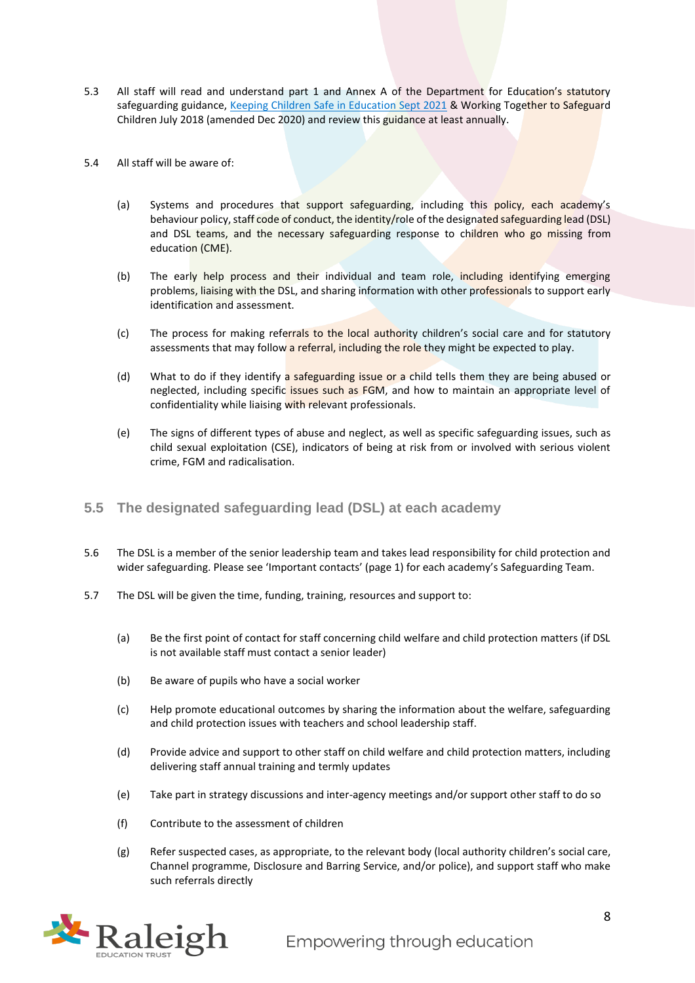- 5.3 All staff will read and understand part 1 and Annex A of the Department for Education's statutory safeguarding guidance, [Keeping Children Safe in Education Sept 2021](https://assets.publishing.service.gov.uk/government/uploads/system/uploads/attachment_data/file/1007260/Keeping_children_safe_in_education_2021.pdf) & Working Together to Safeguard Children July 2018 (amended Dec 2020) and review this guidance at least annually.
- 5.4 All staff will be aware of:
	- (a) Systems and procedures that support safeguarding, including this policy, each academy's behaviour policy, staff code of conduct, the identity/role of the designated safeguarding lead (DSL) and DSL teams, and the necessary safeguarding response to children who go missing from education (CME).
	- (b) The early help process and their individual and team role, including identifying emerging problems, liaising with the DSL, and sharing information with other professionals to support early identification and assessment.
	- (c) The process for making referrals to the local authority children's social care and for statutory assessments that may follow a referral, including the role they might be expected to play.
	- (d) What to do if they identify a safeguarding issue or a child tells them they are being abused or neglected, including specific issues such as FGM, and how to maintain an appropriate level of confidentiality while liaising with relevant professionals.
	- (e) The signs of different types of abuse and neglect, as well as specific safeguarding issues, such as child sexual exploitation (CSE), indicators of being at risk from or involved with serious violent crime, FGM and radicalisation.
- **5.5 The designated safeguarding lead (DSL) at each academy**
- 5.6 The DSL is a member of the senior leadership team and takes lead responsibility for child protection and wider safeguarding. Please see 'Important contacts' (page 1) for each academy's Safeguarding Team.
- 5.7 The DSL will be given the time, funding, training, resources and support to:
	- (a) Be the first point of contact for staff concerning child welfare and child protection matters (if DSL is not available staff must contact a senior leader)
	- (b) Be aware of pupils who have a social worker
	- (c) Help promote educational outcomes by sharing the information about the welfare, safeguarding and child protection issues with teachers and school leadership staff.
	- (d) Provide advice and support to other staff on child welfare and child protection matters, including delivering staff annual training and termly updates
	- (e) Take part in strategy discussions and inter-agency meetings and/or support other staff to do so
	- (f) Contribute to the assessment of children
	- (g) Refer suspected cases, as appropriate, to the relevant body (local authority children's social care, Channel programme, Disclosure and Barring Service, and/or police), and support staff who make such referrals directly

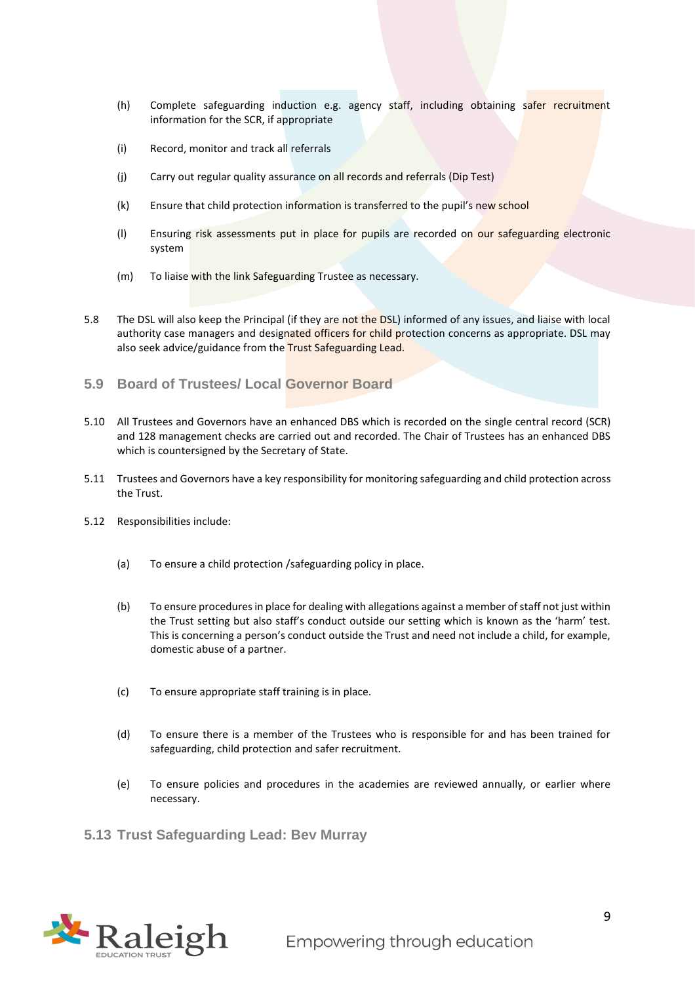- (h) Complete safeguarding induction e.g. agency staff, including obtaining safer recruitment information for the SCR, if appropriate
- (i) Record, monitor and track all referrals
- (j) Carry out regular quality assurance on all records and referrals (Dip Test)
- (k) Ensure that child protection information is transferred to the pupil's new school
- (l) Ensuring risk assessments put in place for pupils are recorded on our safeguarding electronic system
- (m) To liaise with the link Safeguarding Trustee as necessary.
- 5.8 The DSL will also keep the Principal (if they are not the DSL) informed of any issues, and liaise with local authority case managers and designated officers for child protection concerns as appropriate. DSL may also seek advice/guidance from the Trust Safeguarding Lead.
- **5.9 Board of Trustees/ Local Governor Board**
- 5.10 All Trustees and Governors have an enhanced DBS which is recorded on the single central record (SCR) and 128 management checks are carried out and recorded. The Chair of Trustees has an enhanced DBS which is countersigned by the Secretary of State.
- 5.11 Trustees and Governors have a key responsibility for monitoring safeguarding and child protection across the Trust.
- 5.12 Responsibilities include:
	- (a) To ensure a child protection /safeguarding policy in place.
	- (b) To ensure procedures in place for dealing with allegations against a member of staff not just within the Trust setting but also staff's conduct outside our setting which is known as the 'harm' test. This is concerning a person's conduct outside the Trust and need not include a child, for example, domestic abuse of a partner.
	- (c) To ensure appropriate staff training is in place.
	- (d) To ensure there is a member of the Trustees who is responsible for and has been trained for safeguarding, child protection and safer recruitment.
	- (e) To ensure policies and procedures in the academies are reviewed annually, or earlier where necessary.

**5.13 Trust Safeguarding Lead: Bev Murray** 

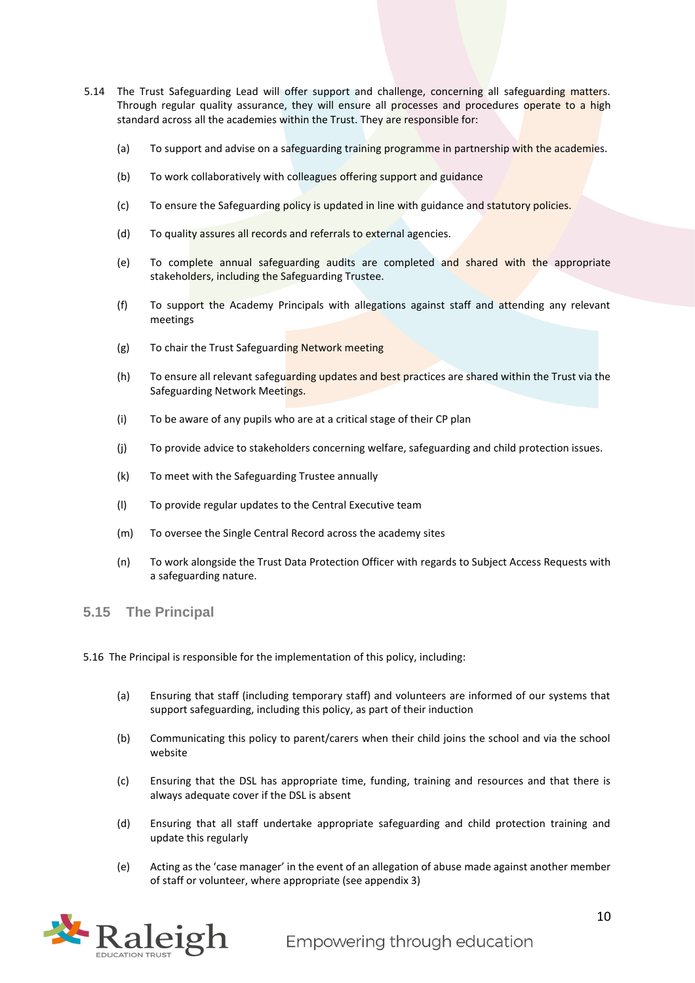- 5.14 The Trust Safeguarding Lead will offer support and challenge, concerning all safeguarding matters. Through regular quality assurance, they will ensure all processes and procedures operate to a high standard across all the academies within the Trust. They are responsible for:
	- (a) To support and advise on a safeguarding training programme in partnership with the academies.
	- (b) To work collaboratively with colleagues offering support and guidance
	- (c) To ensure the Safeguarding policy is updated in line with guidance and statutory policies.
	- (d) To quality assures all records and referrals to external agencies.
	- (e) To complete annual safeguarding audits are completed and shared with the appropriate stakeholders, including the Safeguarding Trustee.
	- (f) To support the Academy Principals with allegations against staff and attending any relevant meetings
	- (g) To chair the Trust Safeguarding Network meeting
	- (h) To ensure all relevant safeguarding updates and best practices are shared within the Trust via the Safeguarding Network Meetings.
	- (i) To be aware of any pupils who are at a critical stage of their CP plan
	- (j) To provide advice to stakeholders concerning welfare, safeguarding and child protection issues.
	- (k) To meet with the Safeguarding Trustee annually
	- (l) To provide regular updates to the Central Executive team
	- (m) To oversee the Single Central Record across the academy sites
	- (n) To work alongside the Trust Data Protection Officer with regards to Subject Access Requests with a safeguarding nature.
- **5.15 The Principal**
- 5.16 The Principal is responsible for the implementation of this policy, including:
	- (a) Ensuring that staff (including temporary staff) and volunteers are informed of our systems that support safeguarding, including this policy, as part of their induction
	- (b) Communicating this policy to parent/carers when their child joins the school and via the school website
	- (c) Ensuring that the DSL has appropriate time, funding, training and resources and that there is always adequate cover if the DSL is absent
	- (d) Ensuring that all staff undertake appropriate safeguarding and child protection training and update this regularly
	- (e) Acting as the 'case manager' in the event of an allegation of abuse made against another member of staff or volunteer, where appropriate (see appendix 3)

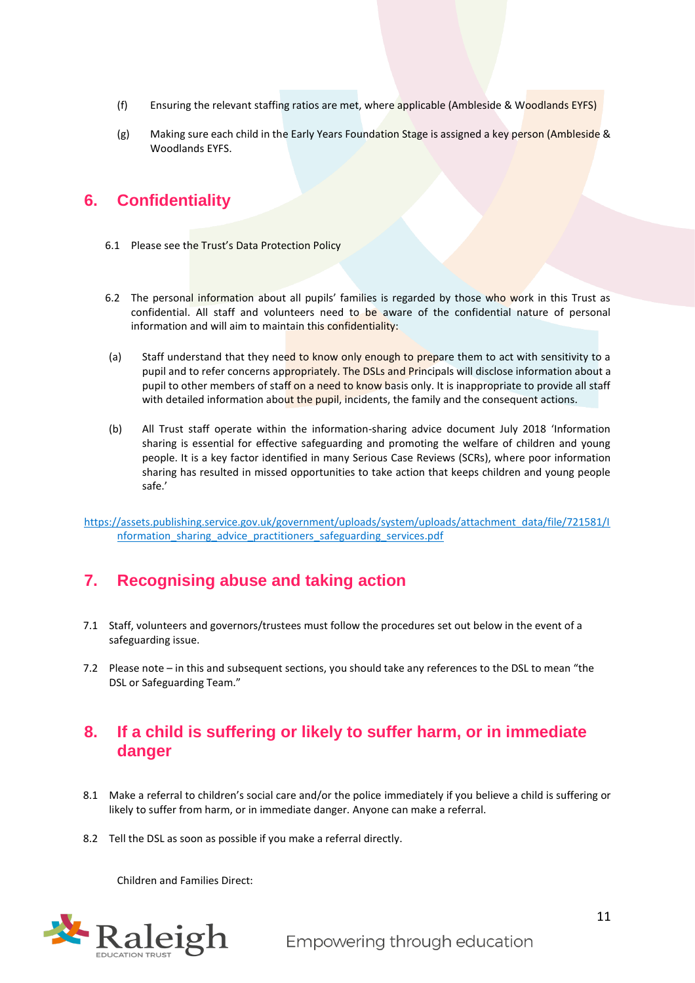- (f) Ensuring the relevant staffing ratios are met, where applicable (Ambleside & Woodlands EYFS)
- (g) Making sure each child in the Early Years Foundation Stage is assigned a key person (Ambleside & Woodlands EYFS.

## <span id="page-10-0"></span>**6. Confidentiality**

- 6.1 Please see the Trust's Data Protection Policy
- 6.2 The personal information about all pupils' families is regarded by those who work in this Trust as confidential. All staff and volunteers need to be aware of the confidential nature of personal information and will aim to maintain this confidentiality:
- (a) Staff understand that they need to know only enough to prepare them to act with sensitivity to a pupil and to refer concerns appropriately. The DSLs and Principals will disclose information about a pupil to other members of staff on a need to know basis only. It is inappropriate to provide all staff with detailed information about the pupil, incidents, the family and the consequent actions.
- (b) All Trust staff operate within the information-sharing advice document July 2018 'Information sharing is essential for effective safeguarding and promoting the welfare of children and young people. It is a key factor identified in many Serious Case Reviews (SCRs), where poor information sharing has resulted in missed opportunities to take action that keeps children and young people safe.'

[https://assets.publishing.service.gov.uk/government/uploads/system/uploads/attachment\\_data/file/721581/I](https://assets.publishing.service.gov.uk/government/uploads/system/uploads/attachment_data/file/721581/Information_sharing_advice_practitioners_safeguarding_services.pdf) [nformation\\_sharing\\_advice\\_practitioners\\_safeguarding\\_services.pdf](https://assets.publishing.service.gov.uk/government/uploads/system/uploads/attachment_data/file/721581/Information_sharing_advice_practitioners_safeguarding_services.pdf)

## <span id="page-10-1"></span>**7. Recognising abuse and taking action**

- 7.1 Staff, volunteers and governors/trustees must follow the procedures set out below in the event of a safeguarding issue.
- 7.2 Please note in this and subsequent sections, you should take any references to the DSL to mean "the DSL or Safeguarding Team."

## <span id="page-10-2"></span>**8. If a child is suffering or likely to suffer harm, or in immediate danger**

- 8.1 Make a referral to children's social care and/or the police immediately if you believe a child is suffering or likely to suffer from harm, or in immediate danger. Anyone can make a referral.
- 8.2 Tell the DSL as soon as possible if you make a referral directly.

Children and Families Direct:

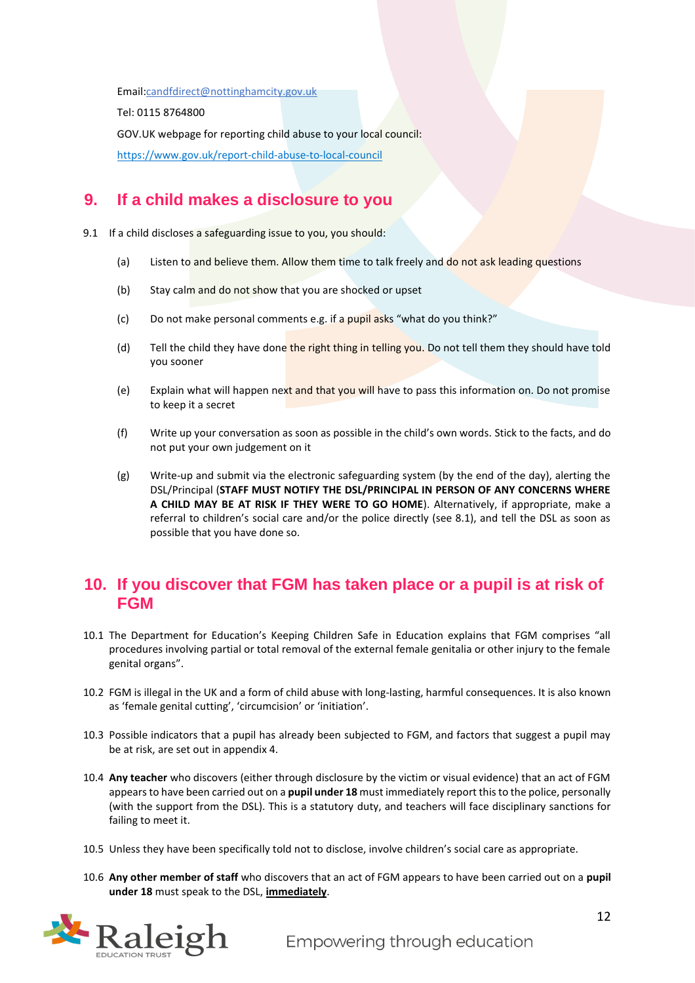Email[:candfdirect@nottinghamcity.gov.uk](mailto:candfdirect@nottinghamcity.gov.uk)

Tel: 0115 8764800

GOV.UK webpage for reporting child abuse to your local council:

<https://www.gov.uk/report-child-abuse-to-local-council>

## <span id="page-11-0"></span>**9. If a child makes a disclosure to you**

9.1 If a child discloses a safeguarding issue to you, you should:

- (a) Listen to and believe them. Allow them time to talk freely and do not ask leading questions
- (b) Stay calm and do not show that you are shocked or upset
- (c) Do not make personal comments e.g. if a pupil asks "what do you think?"
- (d) Tell the child they have done the right thing in telling you. Do not tell them they should have told you sooner
- (e) Explain what will happen next and that you will have to pass this information on. Do not promise to keep it a secret
- (f) Write up your conversation as soon as possible in the child's own words. Stick to the facts, and do not put your own judgement on it
- (g) Write-up and submit via the electronic safeguarding system (by the end of the day), alerting the DSL/Principal (**STAFF MUST NOTIFY THE DSL/PRINCIPAL IN PERSON OF ANY CONCERNS WHERE A CHILD MAY BE AT RISK IF THEY WERE TO GO HOME**). Alternatively, if appropriate, make a referral to children's social care and/or the police directly (see 8.1), and tell the DSL as soon as possible that you have done so.

## <span id="page-11-1"></span>**10. If you discover that FGM has taken place or a pupil is at risk of FGM**

- 10.1 The Department for Education's Keeping Children Safe in Education explains that FGM comprises "all procedures involving partial or total removal of the external female genitalia or other injury to the female genital organs".
- 10.2 FGM is illegal in the UK and a form of child abuse with long-lasting, harmful consequences. It is also known as 'female genital cutting', 'circumcision' or 'initiation'.
- 10.3 Possible indicators that a pupil has already been subjected to FGM, and factors that suggest a pupil may be at risk, are set out in appendix 4.
- 10.4 **Any teacher** who discovers (either through disclosure by the victim or visual evidence) that an act of FGM appears to have been carried out on a **pupil under 18** must immediately report this to the police, personally (with the support from the DSL). This is a statutory duty, and teachers will face disciplinary sanctions for failing to meet it.
- 10.5 Unless they have been specifically told not to disclose, involve children's social care as appropriate.
- 10.6 **Any other member of staff** who discovers that an act of FGM appears to have been carried out on a **pupil under 18** must speak to the DSL, **immediately**.

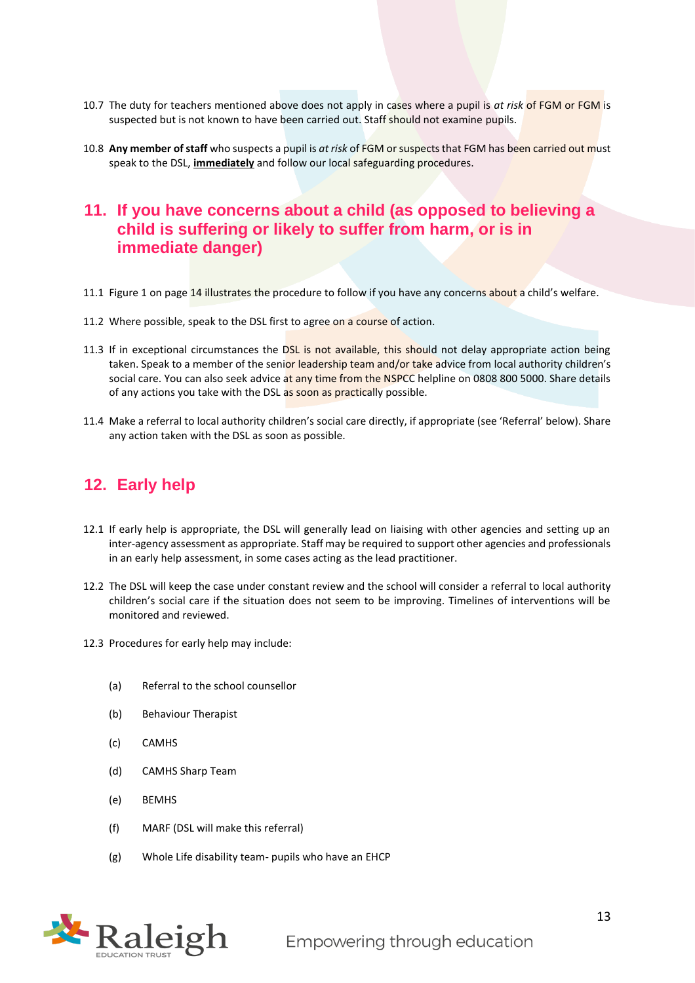- 10.7 The duty for teachers mentioned above does not apply in cases where a pupil is *at risk* of FGM or FGM is suspected but is not known to have been carried out. Staff should not examine pupils.
- 10.8 **Any member of staff** who suspects a pupil is *at risk* of FGM or suspects that FGM has been carried out must speak to the DSL, **immediately** and follow our local safeguarding procedures.

## <span id="page-12-0"></span>**11. If you have concerns about a child (as opposed to believing a child is suffering or likely to suffer from harm, or is in immediate danger)**

- 11.1 Figure 1 on page 14 illustrates the procedure to follow if you have any concerns about a child's welfare.
- 11.2 Where possible, speak to the DSL first to agree on a course of action.
- 11.3 If in exceptional circumstances the DSL is not available, this should not delay appropriate action being taken. Speak to a member of the senior leadership team and/or take advice from local authority children's social care. You can also seek advice at any time from the NSPCC helpline on 0808 800 5000. Share details of any actions you take with the DSL as soon as practically possible.
- 11.4 Make a referral to local authority children's social care directly, if appropriate (see 'Referral' below). Share any action taken with the DSL as soon as possible.

## <span id="page-12-1"></span>**12. Early help**

- 12.1 If early help is appropriate, the DSL will generally lead on liaising with other agencies and setting up an inter-agency assessment as appropriate. Staff may be required to support other agencies and professionals in an early help assessment, in some cases acting as the lead practitioner.
- 12.2 The DSL will keep the case under constant review and the school will consider a referral to local authority children's social care if the situation does not seem to be improving. Timelines of interventions will be monitored and reviewed.
- 12.3 Procedures for early help may include:
	- (a) Referral to the school counsellor
	- (b) Behaviour Therapist
	- (c) CAMHS
	- (d) CAMHS Sharp Team
	- (e) BEMHS
	- (f) MARF (DSL will make this referral)
	- (g) Whole Life disability team- pupils who have an EHCP

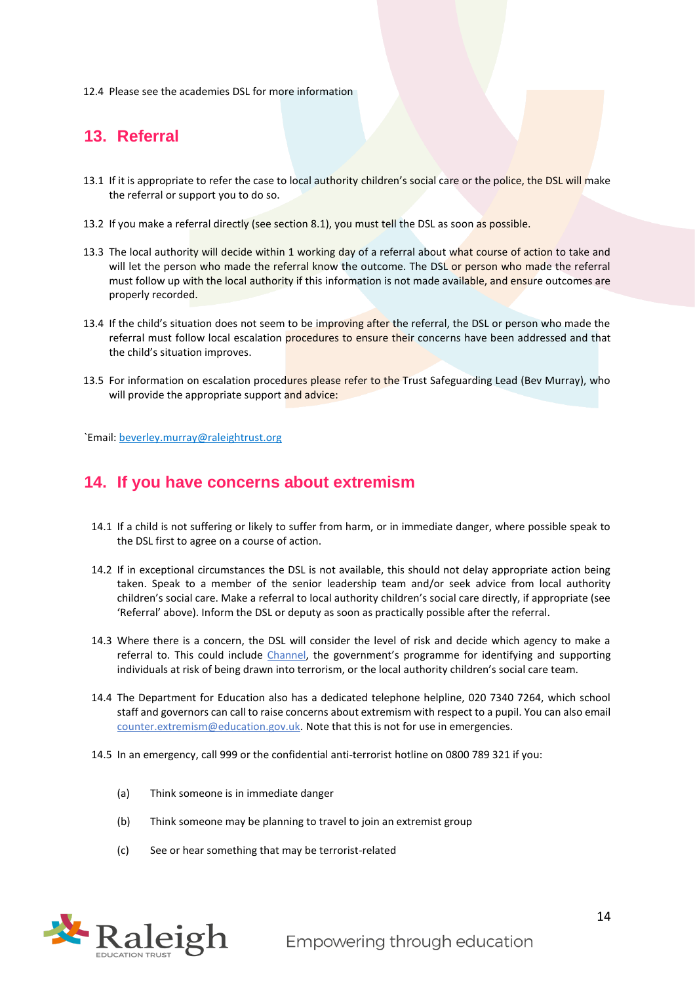12.4 Please see the academies DSL for more information

## <span id="page-13-0"></span>**13. Referral**

- 13.1 If it is appropriate to refer the case to local authority children's social care or the police, the DSL will make the referral or support you to do so.
- 13.2 If you make a referral directly (see section 8.1), you must tell the DSL as soon as possible.
- 13.3 The local authority will decide within 1 working day of a referral about what course of action to take and will let the person who made the referral know the outcome. The DSL or person who made the referral must follow up with the local authority if this information is not made available, and ensure outcomes are properly recorded.
- 13.4 If the child's situation does not seem to be improving after the referral, the DSL or person who made the referral must follow local escalation procedures to ensure their concerns have been addressed and that the child's situation improves.
- 13.5 For information on escalation procedures please refer to the Trust Safeguarding Lead (Bev Murray), who will provide the appropriate support and advice:

`Email: [beverley.murray@raleightrust.org](mailto:beverley.murray@raleightrust.org)

## <span id="page-13-1"></span>**14. If you have concerns about extremism**

- 14.1 If a child is not suffering or likely to suffer from harm, or in immediate danger, where possible speak to the DSL first to agree on a course of action.
- 14.2 If in exceptional circumstances the DSL is not available, this should not delay appropriate action being taken. Speak to a member of the senior leadership team and/or seek advice from local authority children's social care. Make a referral to local authority children's social care directly, if appropriate (see 'Referral' above). Inform the DSL or deputy as soon as practically possible after the referral.
- 14.3 Where there is a concern, the DSL will consider the level of risk and decide which agency to make a referral to. This could include [Channel](https://www.gov.uk/government/publications/channel-guidance), the government's programme for identifying and supporting individuals at risk of being drawn into terrorism, or the local authority children's social care team.
- 14.4 The Department for Education also has a dedicated telephone helpline, 020 7340 7264, which school staff and governors can call to raise concerns about extremism with respect to a pupil. You can also email [counter.extremism@education.gov.uk.](mailto:counter.extremism@education.gov.uk) Note that this is not for use in emergencies.
- 14.5 In an emergency, call 999 or the confidential anti-terrorist hotline on 0800 789 321 if you:
	- (a) Think someone is in immediate danger
	- (b) Think someone may be planning to travel to join an extremist group
	- (c) See or hear something that may be terrorist-related

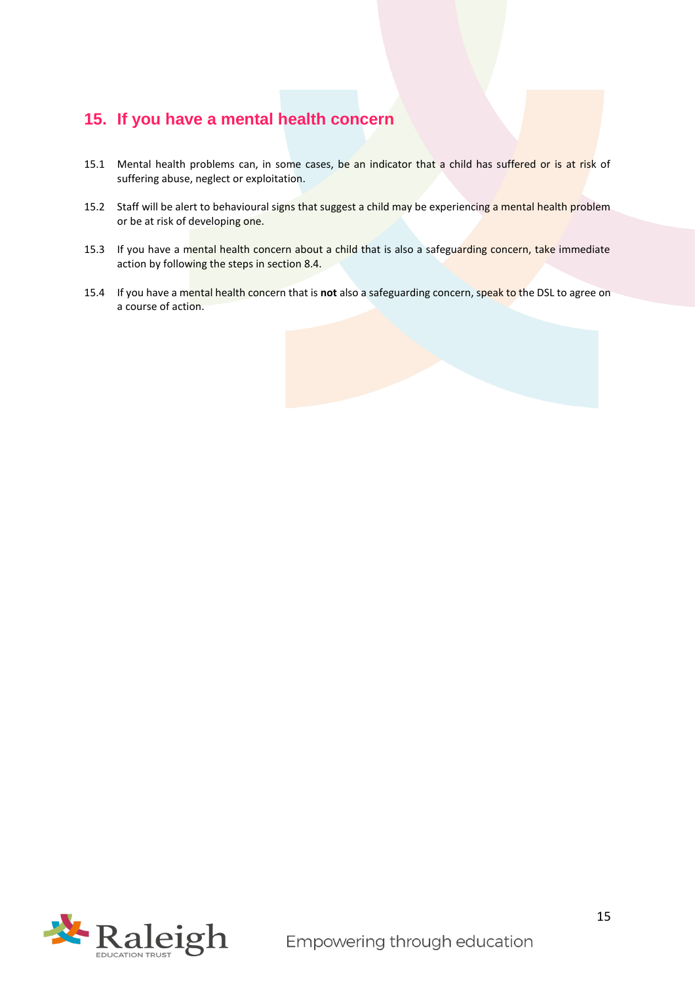## <span id="page-14-0"></span>**15. If you have a mental health concern**

- 15.1 Mental health problems can, in some cases, be an indicator that a child has suffered or is at risk of suffering abuse, neglect or exploitation.
- 15.2 Staff will be alert to behavioural signs that suggest a child may be experiencing a mental health problem or be at risk of developing one.
- 15.3 If you have a mental health concern about a child that is also a safeguarding concern, take immediate action by following the steps in section 8.4.
- 15.4 If you have a mental health concern that is **not** also a safeguarding concern, speak to the DSL to agree on a course of action.

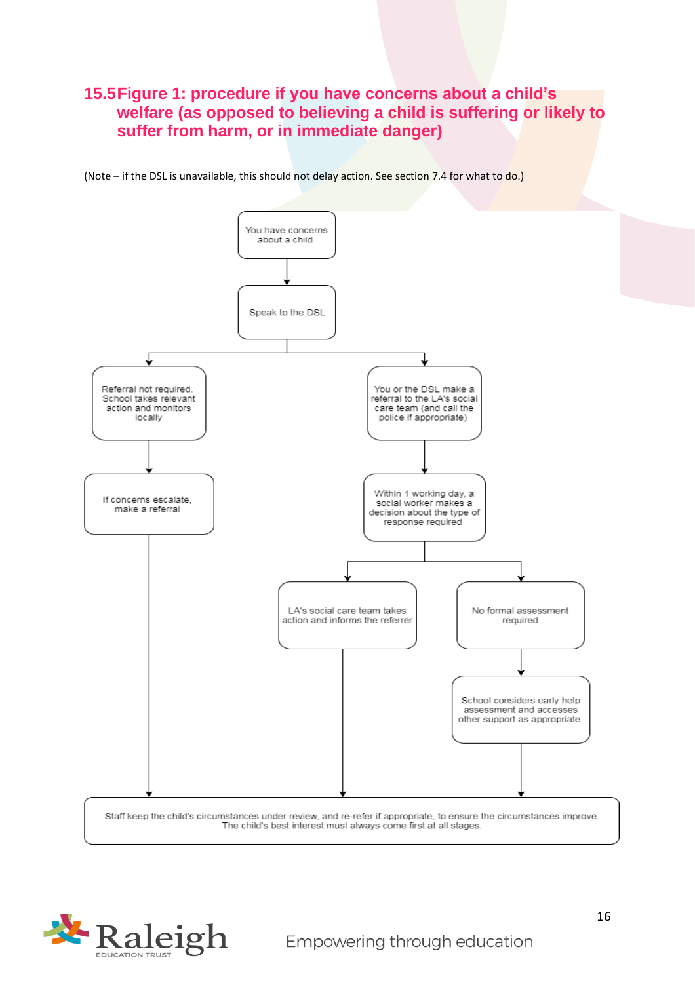## **15.5Figure 1: procedure if you have concerns about a child's welfare (as opposed to believing a child is suffering or likely to suffer from harm, or in immediate danger)**

(Note – if the DSL is unavailable, this should not delay action. See section 7.4 for what to do.)



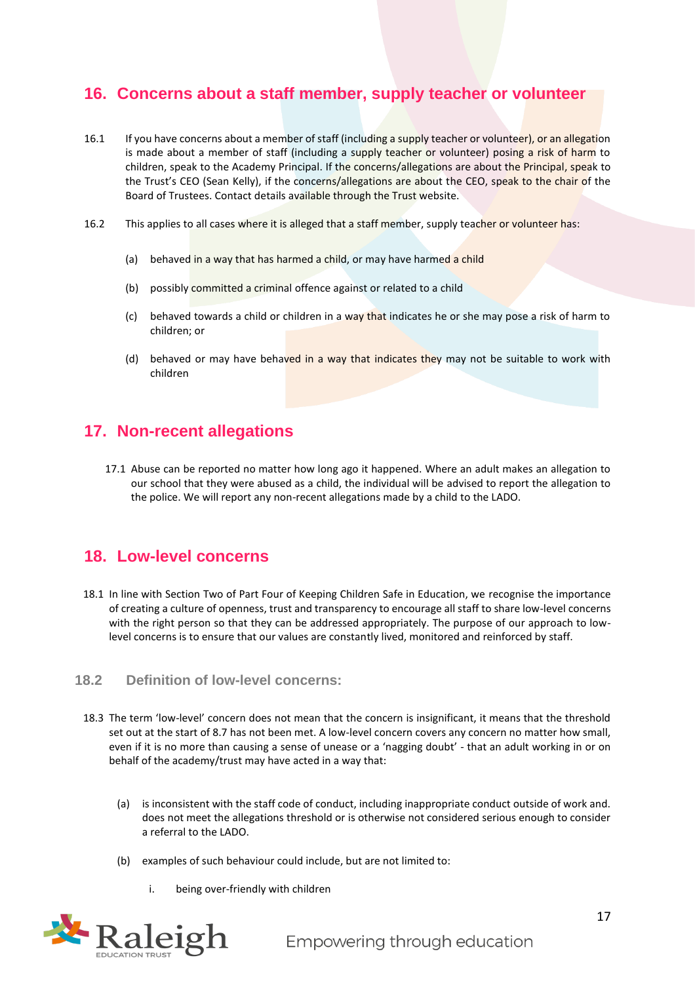## <span id="page-16-0"></span>**16. Concerns about a staff member, supply teacher or volunteer**

- 16.1 If you have concerns about a member of staff (including a supply teacher or volunteer), or an allegation is made about a member of staff (including a supply teacher or volunteer) posing a risk of harm to children, speak to the Academy Principal. If the concerns/allegations are about the Principal, speak to the Trust's CEO (Sean Kelly), if the concerns/allegations are about the CEO, speak to the chair of the Board of Trustees. Contact details available through the Trust website.
- 16.2 This applies to all cases where it is alleged that a staff member, supply teacher or volunteer has:
	- (a) behaved in a way that has harmed a child, or may have harmed a child
	- (b) possibly committed a criminal offence against or related to a child
	- (c) behaved towards a child or children in a way that indicates he or she may pose a risk of harm to children; or
	- (d) behaved or may have behaved in a way that indicates they may not be suitable to work with children

## <span id="page-16-1"></span>**17. Non-recent allegations**

17.1 Abuse can be reported no matter how long ago it happened. Where an adult makes an allegation to our school that they were abused as a child, the individual will be advised to report the allegation to the police. We will report any non-recent allegations made by a child to the LADO.

## <span id="page-16-2"></span>**18. Low-level concerns**

18.1 In line with Section Two of Part Four of Keeping Children Safe in Education, we recognise the importance of creating a culture of openness, trust and transparency to encourage all staff to share low-level concerns with the right person so that they can be addressed appropriately. The purpose of our approach to lowlevel concerns is to ensure that our values are constantly lived, monitored and reinforced by staff.

#### **18.2 Definition of low-level concerns:**

- 18.3 The term 'low-level' concern does not mean that the concern is insignificant, it means that the threshold set out at the start of 8.7 has not been met. A low-level concern covers any concern no matter how small, even if it is no more than causing a sense of unease or a 'nagging doubt' - that an adult working in or on behalf of the academy/trust may have acted in a way that:
	- (a) is inconsistent with the staff code of conduct, including inappropriate conduct outside of work and. does not meet the allegations threshold or is otherwise not considered serious enough to consider a referral to the LADO.
	- (b) examples of such behaviour could include, but are not limited to:
		- i. being over-friendly with children

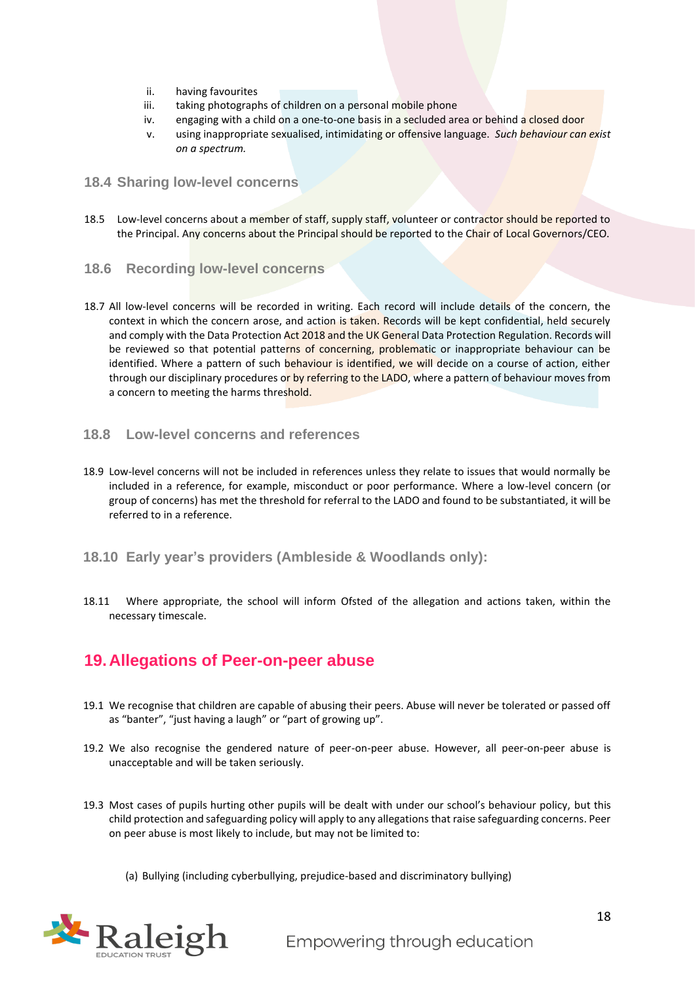- ii. having favourites
- iii. taking photographs of children on a personal mobile phone
- iv. engaging with a child on a one-to-one basis in a secluded area or behind a closed door
- v. using inappropriate sexualised, intimidating or offensive language. *Such behaviour can exist on a spectrum.*

#### **18.4 Sharing low-level concerns**

- 18.5 Low-level concerns about a member of staff, supply staff, volunteer or contractor should be reported to the Principal. Any concerns about the Principal should be reported to the Chair of Local Governors/CEO.
- **18.6 Recording low-level concerns**
- 18.7 All low-level concerns will be recorded in writing. Each record will include details of the concern, the context in which the concern arose, and action is taken. Records will be kept confidential, held securely and comply with the Data Protection Act 2018 and the UK General Data Protection Regulation. Records will be reviewed so that potential patterns of concerning, problematic or inappropriate behaviour can be identified. Where a pattern of such behaviour is identified, we will decide on a course of action, either through our disciplinary procedures or by referring to the LADO, where a pattern of behaviour moves from a concern to meeting the harms threshold.

#### **18.8 Low-level concerns and references**

18.9 Low-level concerns will not be included in references unless they relate to issues that would normally be included in a reference, for example, misconduct or poor performance. Where a low-level concern (or group of concerns) has met the threshold for referral to the LADO and found to be substantiated, it will be referred to in a reference.

#### **18.10 Early year's providers (Ambleside & Woodlands only):**

18.11 Where appropriate, the school will inform Ofsted of the allegation and actions taken, within the necessary timescale.

## <span id="page-17-0"></span>**19.Allegations of Peer-on-peer abuse**

- 19.1 We recognise that children are capable of abusing their peers. Abuse will never be tolerated or passed off as "banter", "just having a laugh" or "part of growing up".
- 19.2 We also recognise the gendered nature of peer-on-peer abuse. However, all peer-on-peer abuse is unacceptable and will be taken seriously.
- 19.3 Most cases of pupils hurting other pupils will be dealt with under our school's behaviour policy, but this child protection and safeguarding policy will apply to any allegations that raise safeguarding concerns. Peer on peer abuse is most likely to include, but may not be limited to:
	- (a) Bullying (including cyberbullying, prejudice-based and discriminatory bullying)

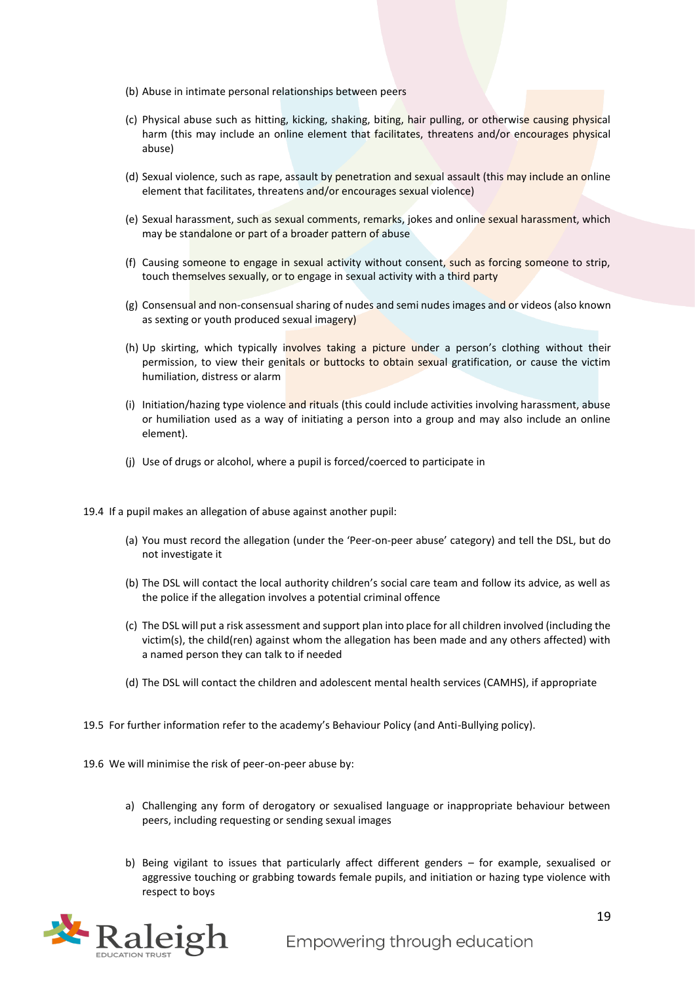- (b) Abuse in intimate personal relationships between peers
- (c) Physical abuse such as hitting, kicking, shaking, biting, hair pulling, or otherwise causing physical harm (this may include an online element that facilitates, threatens and/or encourages physical abuse)
- (d) Sexual violence, such as rape, assault by penetration and sexual assault (this may include an online element that facilitates, threatens and/or encourages sexual violence)
- (e) Sexual harassment, such as sexual comments, remarks, jokes and online sexual harassment, which may be standalone or part of a broader pattern of abuse
- (f) Causing someone to engage in sexual activity without consent, such as forcing someone to strip, touch themselves sexually, or to engage in sexual activity with a third party
- (g) Consensual and non-consensual sharing of nudes and semi nudes images and or videos (also known as sexting or youth produced sexual imagery)
- (h) Up skirting, which typically involves taking a picture under a person's clothing without their permission, to view their genitals or buttocks to obtain sexual gratification, or cause the victim humiliation, distress or alarm
- (i) Initiation/hazing type violence and rituals (this could include activities involving harassment, abuse or humiliation used as a way of initiating a person into a group and may also include an online element).
- (j) Use of drugs or alcohol, where a pupil is forced/coerced to participate in
- 19.4 If a pupil makes an allegation of abuse against another pupil:
	- (a) You must record the allegation (under the 'Peer-on-peer abuse' category) and tell the DSL, but do not investigate it
	- (b) The DSL will contact the local authority children's social care team and follow its advice, as well as the police if the allegation involves a potential criminal offence
	- (c) The DSL will put a risk assessment and support plan into place for all children involved (including the victim(s), the child(ren) against whom the allegation has been made and any others affected) with a named person they can talk to if needed
	- (d) The DSL will contact the children and adolescent mental health services (CAMHS), if appropriate
- 19.5 For further information refer to the academy's Behaviour Policy (and Anti-Bullying policy).
- 19.6 We will minimise the risk of peer-on-peer abuse by:
	- a) Challenging any form of derogatory or sexualised language or inappropriate behaviour between peers, including requesting or sending sexual images
	- b) Being vigilant to issues that particularly affect different genders for example, sexualised or aggressive touching or grabbing towards female pupils, and initiation or hazing type violence with respect to boys

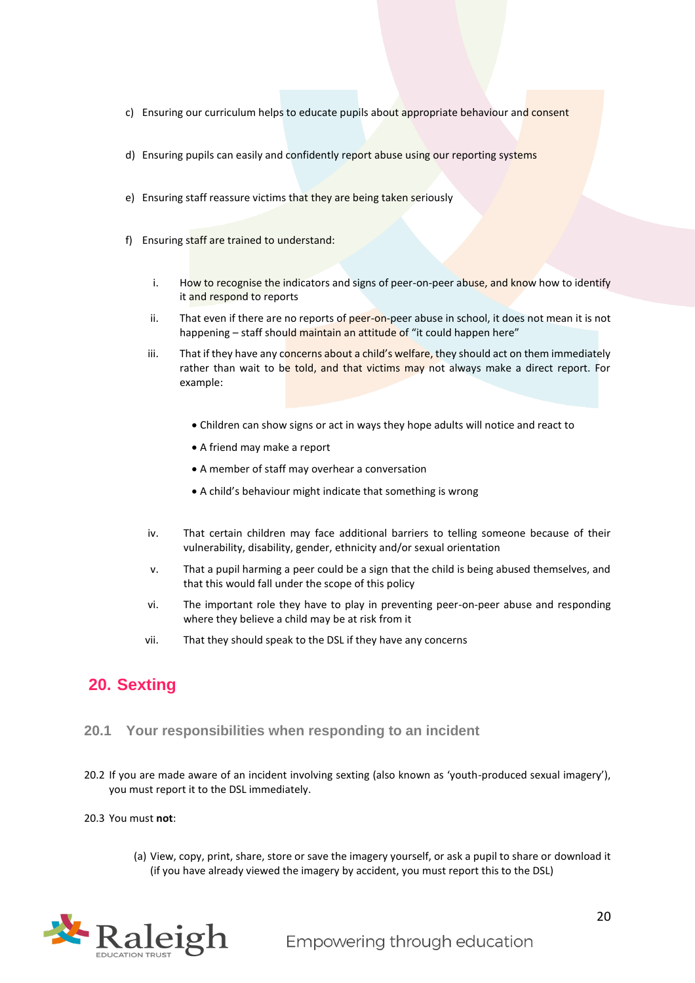- c) Ensuring our curriculum helps to educate pupils about appropriate behaviour and consent
- d) Ensuring pupils can easily and confidently report abuse using our reporting systems
- e) Ensuring staff reassure victims that they are being taken seriously
- f) Ensuring staff are trained to understand:
	- i. How to recognise the indicators and signs of peer-on-peer abuse, and know how to identify it and respond to reports
	- ii. That even if there are no reports of peer-on-peer abuse in school, it does not mean it is not happening – staff should maintain an attitude of "it could happen here"
	- iii. That if they have any concerns about a child's welfare, they should act on them immediately rather than wait to be told, and that victims may not always make a direct report. For example:
		- Children can show signs or act in ways they hope adults will notice and react to
		- A friend may make a report
		- A member of staff may overhear a conversation
		- A child's behaviour might indicate that something is wrong
	- iv. That certain children may face additional barriers to telling someone because of their vulnerability, disability, gender, ethnicity and/or sexual orientation
	- v. That a pupil harming a peer could be a sign that the child is being abused themselves, and that this would fall under the scope of this policy
	- vi. The important role they have to play in preventing peer-on-peer abuse and responding where they believe a child may be at risk from it
	- vii. That they should speak to the DSL if they have any concerns

## <span id="page-19-0"></span>**20. Sexting**

#### **20.1 Your responsibilities when responding to an incident**

- 20.2 If you are made aware of an incident involving sexting (also known as 'youth-produced sexual imagery'), you must report it to the DSL immediately.
- 20.3 You must **not**:
	- (a) View, copy, print, share, store or save the imagery yourself, or ask a pupil to share or download it (if you have already viewed the imagery by accident, you must report this to the DSL)

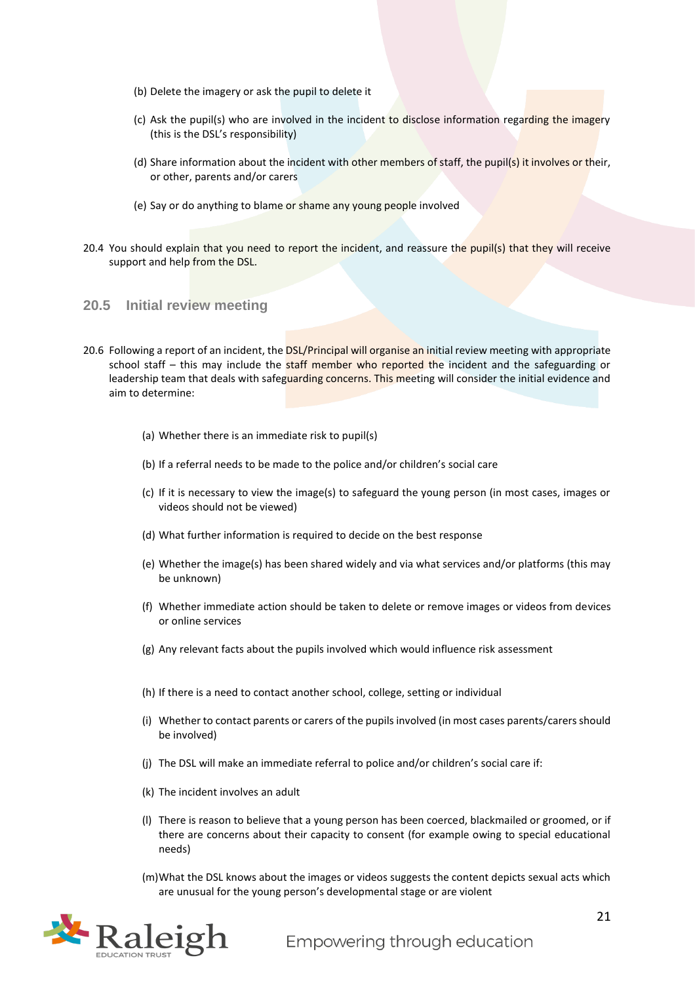- (b) Delete the imagery or ask the pupil to delete it
- (c) Ask the pupil(s) who are involved in the incident to disclose information regarding the imagery (this is the DSL's responsibility)
- (d) Share information about the incident with other members of staff, the pupil(s) it involves or their, or other, parents and/or carers
- (e) Say or do anything to blame or shame any young people involved
- 20.4 You should explain that you need to report the incident, and reassure the pupil(s) that they will receive support and help from the DSL.

#### **20.5 Initial review meeting**

- 20.6 Following a report of an incident, the DSL/Principal will organise an initial review meeting with appropriate school staff – this may include the staff member who reported the incident and the safeguarding or leadership team that deals with safeguarding concerns. This meeting will consider the initial evidence and aim to determine:
	- (a) Whether there is an immediate risk to pupil(s)
	- (b) If a referral needs to be made to the police and/or children's social care
	- (c) If it is necessary to view the image(s) to safeguard the young person (in most cases, images or videos should not be viewed)
	- (d) What further information is required to decide on the best response
	- (e) Whether the image(s) has been shared widely and via what services and/or platforms (this may be unknown)
	- (f) Whether immediate action should be taken to delete or remove images or videos from devices or online services
	- (g) Any relevant facts about the pupils involved which would influence risk assessment
	- (h) If there is a need to contact another school, college, setting or individual
	- (i) Whether to contact parents or carers of the pupils involved (in most cases parents/carers should be involved)
	- (j) The DSL will make an immediate referral to police and/or children's social care if:
	- (k) The incident involves an adult
	- (l) There is reason to believe that a young person has been coerced, blackmailed or groomed, or if there are concerns about their capacity to consent (for example owing to special educational needs)
	- (m)What the DSL knows about the images or videos suggests the content depicts sexual acts which are unusual for the young person's developmental stage or are violent

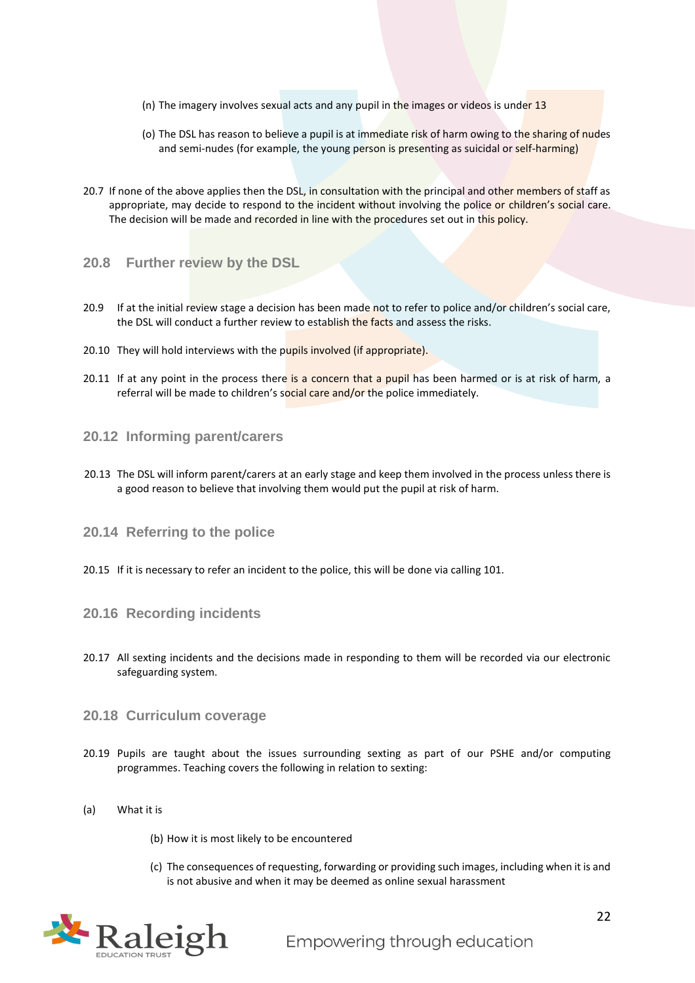- (n) The imagery involves sexual acts and any pupil in the images or videos is under 13
- (o) The DSL has reason to believe a pupil is at immediate risk of harm owing to the sharing of nudes and semi-nudes (for example, the young person is presenting as suicidal or self-harming)
- 20.7 If none of the above applies then the DSL, in consultation with the principal and other members of staff as appropriate, may decide to respond to the incident without involving the police or children's social care. The decision will be made and recorded in line with the procedures set out in this policy.
- **20.8 Further review by the DSL**
- 20.9 If at the initial review stage a decision has been made not to refer to police and/or children's social care, the DSL will conduct a further review to establish the facts and assess the risks.
- 20.10 They will hold interviews with the pupils involved (if appropriate).
- 20.11 If at any point in the process there is a concern that a pupil has been harmed or is at risk of harm, a referral will be made to children's social care and/or the police immediately.

#### **20.12 Informing parent/carers**

- 20.13 The DSL will inform parent/carers at an early stage and keep them involved in the process unless there is a good reason to believe that involving them would put the pupil at risk of harm.
- **20.14 Referring to the police**
- 20.15 If it is necessary to refer an incident to the police, this will be done via calling 101.
- **20.16 Recording incidents**
- 20.17 All sexting incidents and the decisions made in responding to them will be recorded via our electronic safeguarding system.
- **20.18 Curriculum coverage**
- 20.19 Pupils are taught about the issues surrounding sexting as part of our PSHE and/or computing programmes. Teaching covers the following in relation to sexting:
- (a) What it is
	- (b) How it is most likely to be encountered
	- (c) The consequences of requesting, forwarding or providing such images, including when it is and is not abusive and when it may be deemed as online sexual harassment

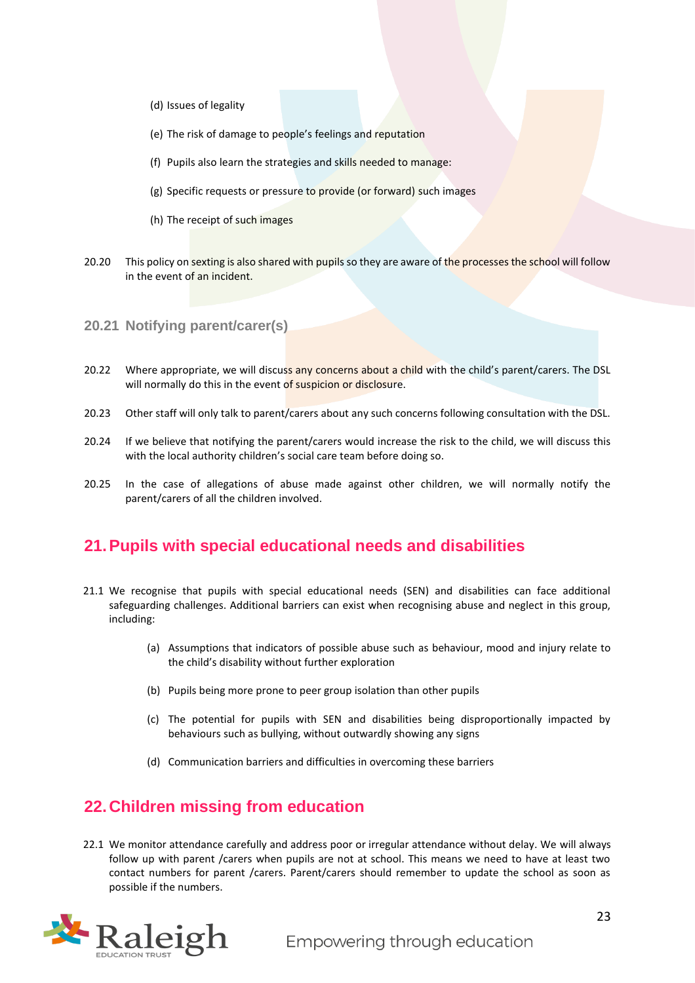- (d) Issues of legality
- (e) The risk of damage to people's feelings and reputation
- (f) Pupils also learn the strategies and skills needed to manage:
- (g) Specific requests or pressure to provide (or forward) such images
- (h) The receipt of such images
- 20.20 This policy on sexting is also shared with pupils so they are aware of the processes the school will follow in the event of an incident.
- **20.21 Notifying parent/carer(s)**
- 20.22 Where appropriate, we will discuss any concerns about a child with the child's parent/carers. The DSL will normally do this in the event of suspicion or disclosure.
- 20.23 Other staff will only talk to parent/carers about any such concerns following consultation with the DSL.
- 20.24 If we believe that notifying the parent/carers would increase the risk to the child, we will discuss this with the local authority children's social care team before doing so.
- 20.25 In the case of allegations of abuse made against other children, we will normally notify the parent/carers of all the children involved.

## <span id="page-22-0"></span>**21.Pupils with special educational needs and disabilities**

- 21.1 We recognise that pupils with special educational needs (SEN) and disabilities can face additional safeguarding challenges. Additional barriers can exist when recognising abuse and neglect in this group, including:
	- (a) Assumptions that indicators of possible abuse such as behaviour, mood and injury relate to the child's disability without further exploration
	- (b) Pupils being more prone to peer group isolation than other pupils
	- (c) The potential for pupils with SEN and disabilities being disproportionally impacted by behaviours such as bullying, without outwardly showing any signs
	- (d) Communication barriers and difficulties in overcoming these barriers

## <span id="page-22-1"></span>**22.Children missing from education**

22.1 We monitor attendance carefully and address poor or irregular attendance without delay. We will always follow up with parent /carers when pupils are not at school. This means we need to have at least two contact numbers for parent /carers. Parent/carers should remember to update the school as soon as possible if the numbers.

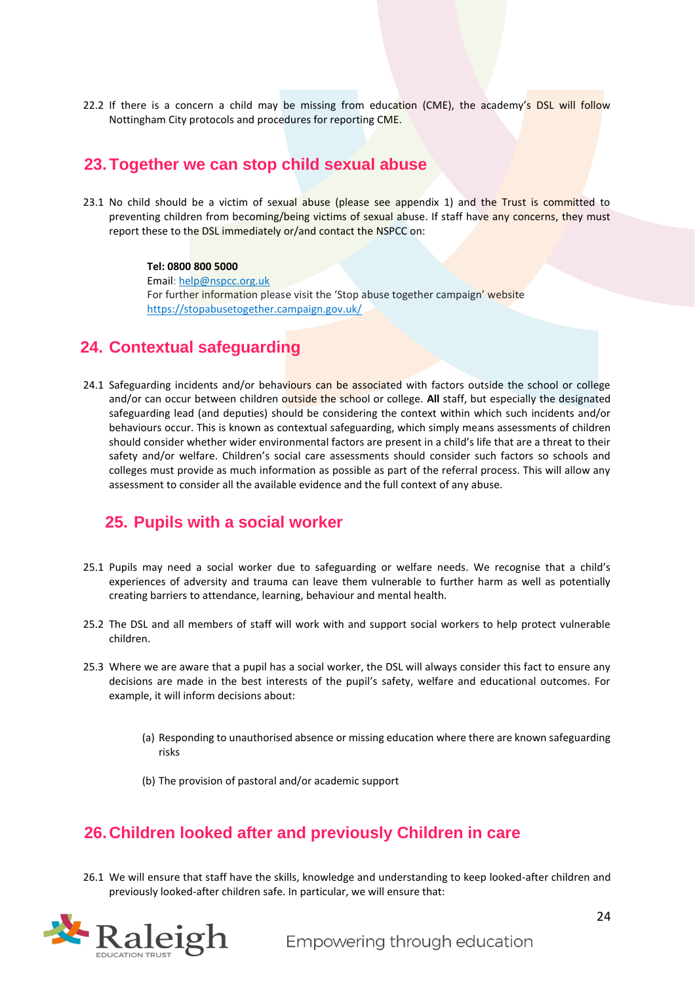22.2 If there is a concern a child may be missing from education (CME), the academy's DSL will follow Nottingham City protocols and procedures for reporting CME.

## <span id="page-23-0"></span>**23.Together we can stop child sexual abuse**

23.1 No child should be a victim of sexual abuse (please see appendix 1) and the Trust is committed to preventing children from becoming/being victims of sexual abuse. If staff have any concerns, they must report these to the DSL immediately or/and contact the NSPCC on:

> **Tel: 0800 800 5000** Email: [help@nspcc.org.uk](mailto:help@nspcc.org.uk) For further information please visit the 'Stop abuse together campaign' website <https://stopabusetogether.campaign.gov.uk/>

## <span id="page-23-1"></span>**24. Contextual safeguarding**

24.1 Safeguarding incidents and/or behaviours can be associated with factors outside the school or college and/or can occur between children outside the school or college. **All** staff, but especially the designated safeguarding lead (and deputies) should be considering the context within which such incidents and/or behaviours occur. This is known as contextual safeguarding, which simply means assessments of children should consider whether wider environmental factors are present in a child's life that are a threat to their safety and/or welfare. Children's social care assessments should consider such factors so schools and colleges must provide as much information as possible as part of the referral process. This will allow any assessment to consider all the available evidence and the full context of any abuse.

## <span id="page-23-2"></span>**25. Pupils with a social worker**

- 25.1 Pupils may need a social worker due to safeguarding or welfare needs. We recognise that a child's experiences of adversity and trauma can leave them vulnerable to further harm as well as potentially creating barriers to attendance, learning, behaviour and mental health.
- 25.2 The DSL and all members of staff will work with and support social workers to help protect vulnerable children.
- 25.3 Where we are aware that a pupil has a social worker, the DSL will always consider this fact to ensure any decisions are made in the best interests of the pupil's safety, welfare and educational outcomes. For example, it will inform decisions about:
	- (a) Responding to unauthorised absence or missing education where there are known safeguarding risks
	- (b) The provision of pastoral and/or academic support

## <span id="page-23-3"></span>**26.Children looked after and previously Children in care**

26.1 We will ensure that staff have the skills, knowledge and understanding to keep looked-after children and previously looked-after children safe. In particular, we will ensure that:

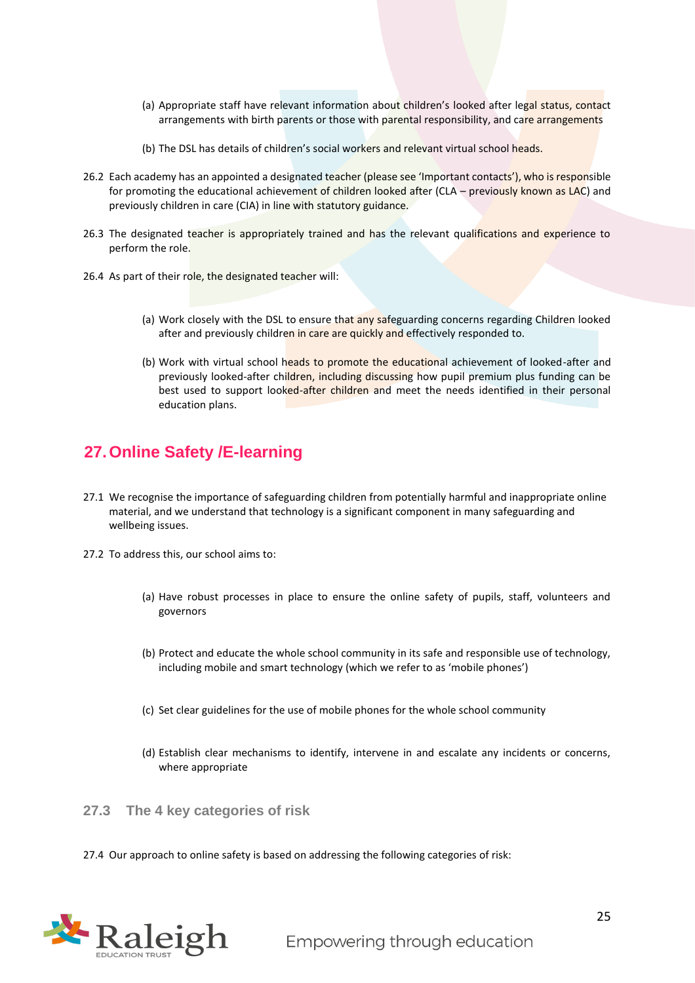- (a) Appropriate staff have relevant information about children's looked after legal status, contact arrangements with birth parents or those with parental responsibility, and care arrangements
- (b) The DSL has details of children's social workers and relevant virtual school heads.
- 26.2 Each academy has an appointed a designated teacher (please see 'Important contacts'), who is responsible for promoting the educational achievement of children looked after (CLA – previously known as LAC) and previously children in care (CIA) in line with statutory guidance.
- 26.3 The designated teacher is appropriately trained and has the relevant qualifications and experience to perform the role.
- 26.4 As part of their role, the designated teacher will:
	- (a) Work closely with the DSL to ensure that any safeguarding concerns regarding Children looked after and previously children in care are quickly and effectively responded to.
	- (b) Work with virtual school heads to promote the educational achievement of looked-after and previously looked-after children, including discussing how pupil premium plus funding can be best used to support looked-after children and meet the needs identified in their personal education plans.

## <span id="page-24-0"></span>**27.Online Safety /E-learning**

- 27.1 We recognise the importance of safeguarding children from potentially harmful and inappropriate online material, and we understand that technology is a significant component in many safeguarding and wellbeing issues.
- 27.2 To address this, our school aims to:
	- (a) Have robust processes in place to ensure the online safety of pupils, staff, volunteers and governors
	- (b) Protect and educate the whole school community in its safe and responsible use of technology, including mobile and smart technology (which we refer to as 'mobile phones')
	- (c) Set clear guidelines for the use of mobile phones for the whole school community
	- (d) Establish clear mechanisms to identify, intervene in and escalate any incidents or concerns, where appropriate

**27.3 The 4 key categories of risk**

27.4 Our approach to online safety is based on addressing the following categories of risk:

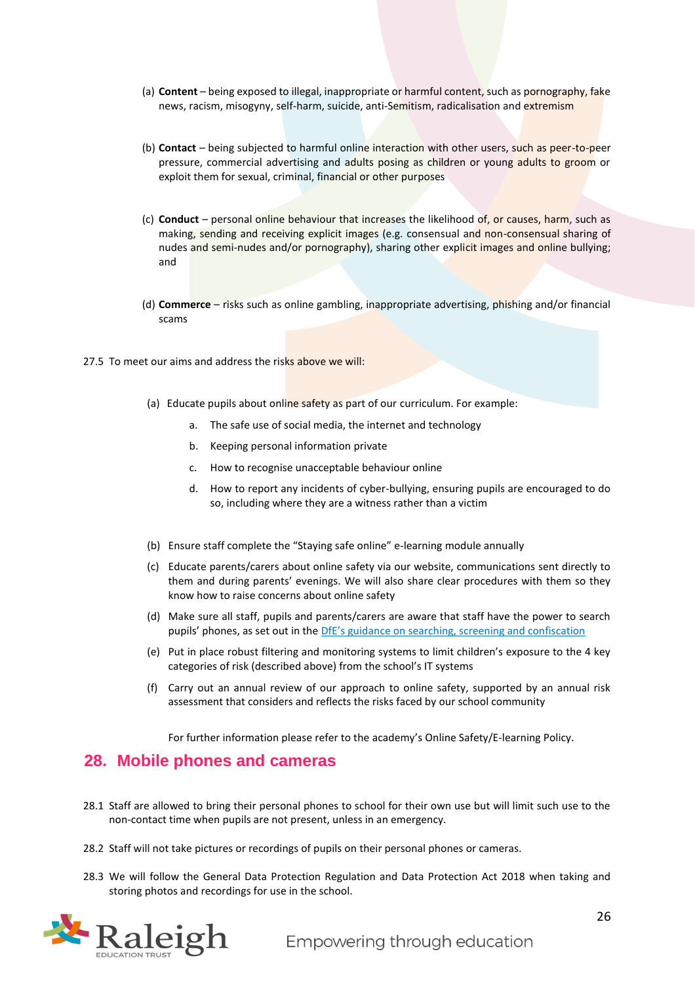- (a) **Content** being exposed to illegal, inappropriate or harmful content, such as pornography, fake news, racism, misogyny, self-harm, suicide, anti-Semitism, radicalisation and extremism
- (b) **Contact** being subjected to harmful online interaction with other users, such as peer-to-peer pressure, commercial advertising and adults posing as children or young adults to groom or exploit them for sexual, criminal, financial or other purposes
- (c) **Conduct** personal online behaviour that increases the likelihood of, or causes, harm, such as making, sending and receiving explicit images (e.g. consensual and non-consensual sharing of nudes and semi-nudes and/or pornography), sharing other explicit images and online bullying; and
- (d) **Commerce** risks such as online gambling, inappropriate advertising, phishing and/or financial scams
- 27.5 To meet our aims and address the risks above we will:
	- (a) Educate pupils about online safety as part of our curriculum. For example:
		- a. The safe use of social media, the internet and technology
		- b. Keeping personal information private
		- c. How to recognise unacceptable behaviour online
		- d. How to report any incidents of cyber-bullying, ensuring pupils are encouraged to do so, including where they are a witness rather than a victim
	- (b) Ensure staff complete the "Staying safe online" e-learning module annually
	- (c) Educate parents/carers about online safety via our website, communications sent directly to them and during parents' evenings. We will also share clear procedures with them so they know how to raise concerns about online safety
	- (d) Make sure all staff, pupils and parents/carers are aware that staff have the power to search pupils' phones, as set out in the [DfE's guidance on searching, screening and confiscation](https://www.gov.uk/government/publications/searching-screening-and-confiscation)
	- (e) Put in place robust filtering and monitoring systems to limit children's exposure to the 4 key categories of risk (described above) from the school's IT systems
	- (f) Carry out an annual review of our approach to online safety, supported by an annual risk assessment that considers and reflects the risks faced by our school community

For further information please refer to the academy's Online Safety/E-learning Policy.

#### <span id="page-25-0"></span>**28. Mobile phones and cameras**

- 28.1 Staff are allowed to bring their personal phones to school for their own use but will limit such use to the non-contact time when pupils are not present, unless in an emergency.
- 28.2 Staff will not take pictures or recordings of pupils on their personal phones or cameras.
- 28.3 We will follow the General Data Protection Regulation and Data Protection Act 2018 when taking and storing photos and recordings for use in the school.

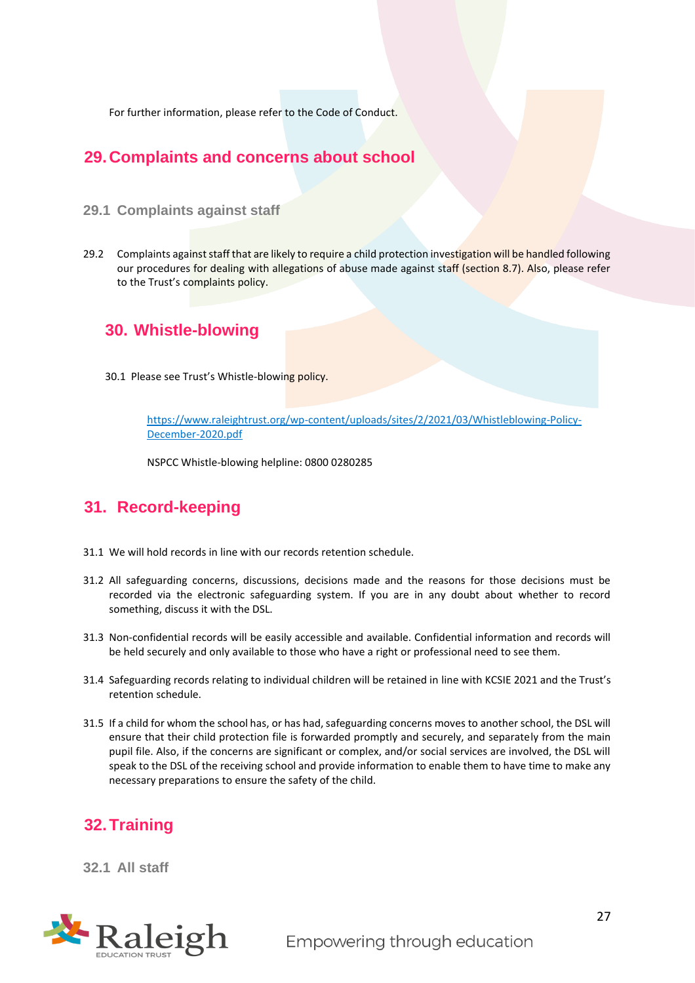For further information, please refer to the Code of Conduct.

## <span id="page-26-0"></span>**29.Complaints and concerns about school**

#### **29.1 Complaints against staff**

29.2 Complaints against staff that are likely to require a child protection investigation will be handled following our procedures for dealing with allegations of abuse made against staff (section 8.7). Also, please refer to the Trust's complaints policy.

## <span id="page-26-1"></span>**30. Whistle-blowing**

30.1 Please see Trust's Whistle-blowing policy.

[https://www.raleightrust.org/wp-content/uploads/sites/2/2021/03/Whistleblowing-Policy-](https://www.raleightrust.org/wp-content/uploads/sites/2/2021/03/Whistleblowing-Policy-December-2020.pdf)[December-2020.pdf](https://www.raleightrust.org/wp-content/uploads/sites/2/2021/03/Whistleblowing-Policy-December-2020.pdf)

NSPCC Whistle-blowing helpline: 0800 0280285

## <span id="page-26-2"></span>**31. Record-keeping**

- 31.1 We will hold records in line with our records retention schedule.
- 31.2 All safeguarding concerns, discussions, decisions made and the reasons for those decisions must be recorded via the electronic safeguarding system. If you are in any doubt about whether to record something, discuss it with the DSL.
- 31.3 Non-confidential records will be easily accessible and available. Confidential information and records will be held securely and only available to those who have a right or professional need to see them.
- 31.4 Safeguarding records relating to individual children will be retained in line with KCSIE 2021 and the Trust's retention schedule.
- 31.5 If a child for whom the school has, or has had, safeguarding concerns moves to another school, the DSL will ensure that their child protection file is forwarded promptly and securely, and separately from the main pupil file. Also, if the concerns are significant or complex, and/or social services are involved, the DSL will speak to the DSL of the receiving school and provide information to enable them to have time to make any necessary preparations to ensure the safety of the child.

## <span id="page-26-3"></span>**32.Training**

**32.1 All staff**

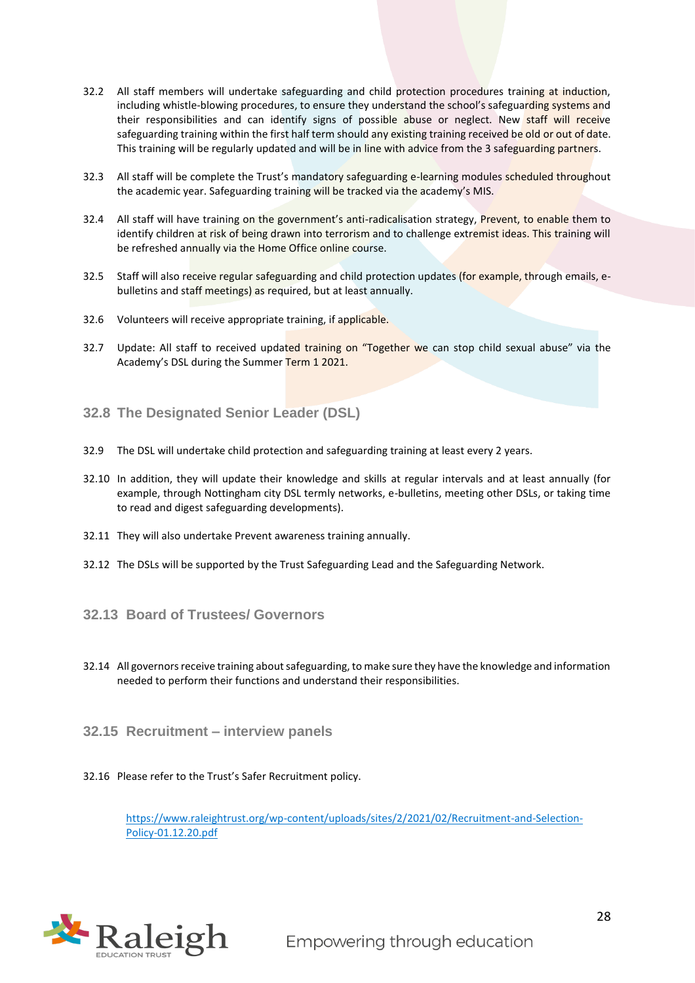- 32.2 All staff members will undertake safeguarding and child protection procedures training at induction, including whistle-blowing procedures, to ensure they understand the school's safeguarding systems and their responsibilities and can identify signs of possible abuse or neglect. New staff will receive safeguarding training within the first half term should any existing training received be old or out of date. This training will be regularly updated and will be in line with advice from the 3 safeguarding partners.
- 32.3 All staff will be complete the Trust's mandatory safeguarding e-learning modules scheduled throughout the academic year. Safeguarding training will be tracked via the academy's MIS.
- 32.4 All staff will have training on the government's anti-radicalisation strategy, Prevent, to enable them to identify children at risk of being drawn into terrorism and to challenge extremist ideas. This training will be refreshed annually via the Home Office online course.
- 32.5 Staff will also receive regular safeguarding and child protection updates (for example, through emails, ebulletins and staff meetings) as required, but at least annually.
- 32.6 Volunteers will receive appropriate training, if applicable.
- 32.7 Update: All staff to received updated training on "Together we can stop child sexual abuse" via the Academy's DSL during the Summer Term 1 2021.
- **32.8 The Designated Senior Leader (DSL)**
- 32.9 The DSL will undertake child protection and safeguarding training at least every 2 years.
- 32.10 In addition, they will update their knowledge and skills at regular intervals and at least annually (for example, through Nottingham city DSL termly networks, e-bulletins, meeting other DSLs, or taking time to read and digest safeguarding developments).
- 32.11 They will also undertake Prevent awareness training annually.
- 32.12 The DSLs will be supported by the Trust Safeguarding Lead and the Safeguarding Network.
- **32.13 Board of Trustees/ Governors**
- 32.14 All governors receive training about safeguarding, to make sure they have the knowledge and information needed to perform their functions and understand their responsibilities.
- **32.15 Recruitment – interview panels**
- 32.16 Please refer to the Trust's Safer Recruitment policy.

[https://www.raleightrust.org/wp-content/uploads/sites/2/2021/02/Recruitment-and-Selection-](https://www.raleightrust.org/wp-content/uploads/sites/2/2021/02/Recruitment-and-Selection-Policy-01.12.20.pdf)[Policy-01.12.20.pdf](https://www.raleightrust.org/wp-content/uploads/sites/2/2021/02/Recruitment-and-Selection-Policy-01.12.20.pdf)

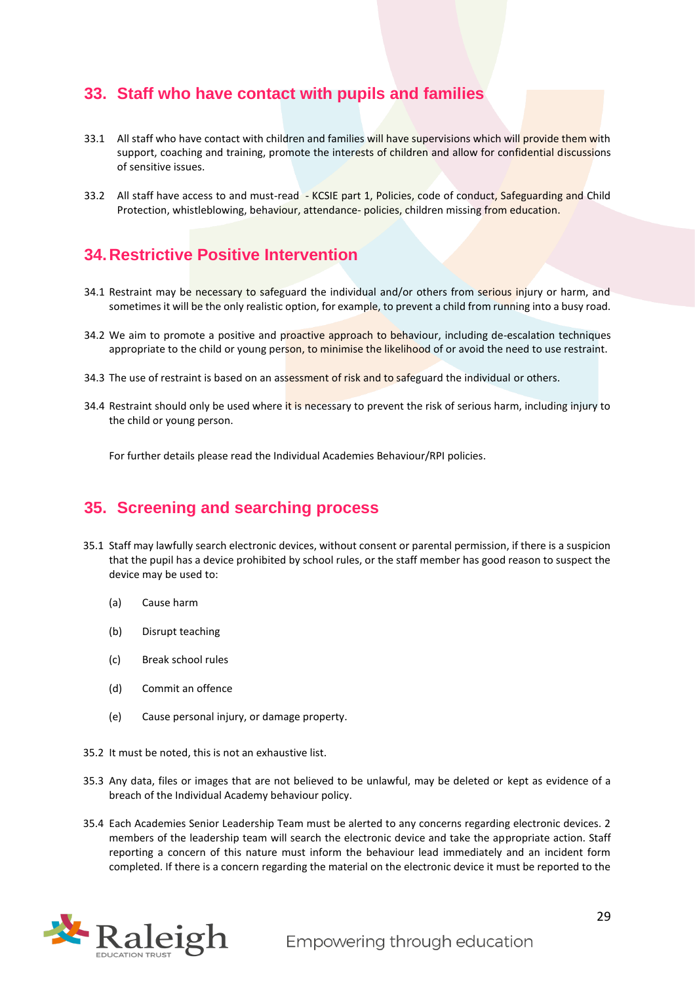## <span id="page-28-0"></span>**33. Staff who have contact with pupils and families**

- 33.1 All staff who have contact with children and families will have supervisions which will provide them with support, coaching and training, promote the interests of children and allow for confidential discussions of sensitive issues.
- 33.2 All staff have access to and must-read KCSIE part 1, Policies, code of conduct, Safeguarding and Child Protection, whistleblowing, behaviour, attendance- policies, children missing from education.

## <span id="page-28-1"></span>**34.Restrictive Positive Intervention**

- 34.1 Restraint may be necessary to safeguard the individual and/or others from serious injury or harm, and sometimes it will be the only realistic option, for example, to prevent a child from running into a busy road.
- 34.2 We aim to promote a positive and proactive approach to behaviour, including de-escalation techniques appropriate to the child or young person, to minimise the likelihood of or avoid the need to use restraint.
- 34.3 The use of restraint is based on an assessment of risk and to safeguard the individual or others.
- 34.4 Restraint should only be used where it is necessary to prevent the risk of serious harm, including injury to the child or young person.

For further details please read the Individual Academies Behaviour/RPI policies.

## <span id="page-28-2"></span>**35. Screening and searching process**

- 35.1 Staff may lawfully search electronic devices, without consent or parental permission, if there is a suspicion that the pupil has a device prohibited by school rules, or the staff member has good reason to suspect the device may be used to:
	- (a) Cause harm
	- (b) Disrupt teaching
	- (c) Break school rules
	- (d) Commit an offence
	- (e) Cause personal injury, or damage property.
- 35.2 It must be noted, this is not an exhaustive list.
- 35.3 Any data, files or images that are not believed to be unlawful, may be deleted or kept as evidence of a breach of the Individual Academy behaviour policy.
- 35.4 Each Academies Senior Leadership Team must be alerted to any concerns regarding electronic devices. 2 members of the leadership team will search the electronic device and take the appropriate action. Staff reporting a concern of this nature must inform the behaviour lead immediately and an incident form completed. If there is a concern regarding the material on the electronic device it must be reported to the

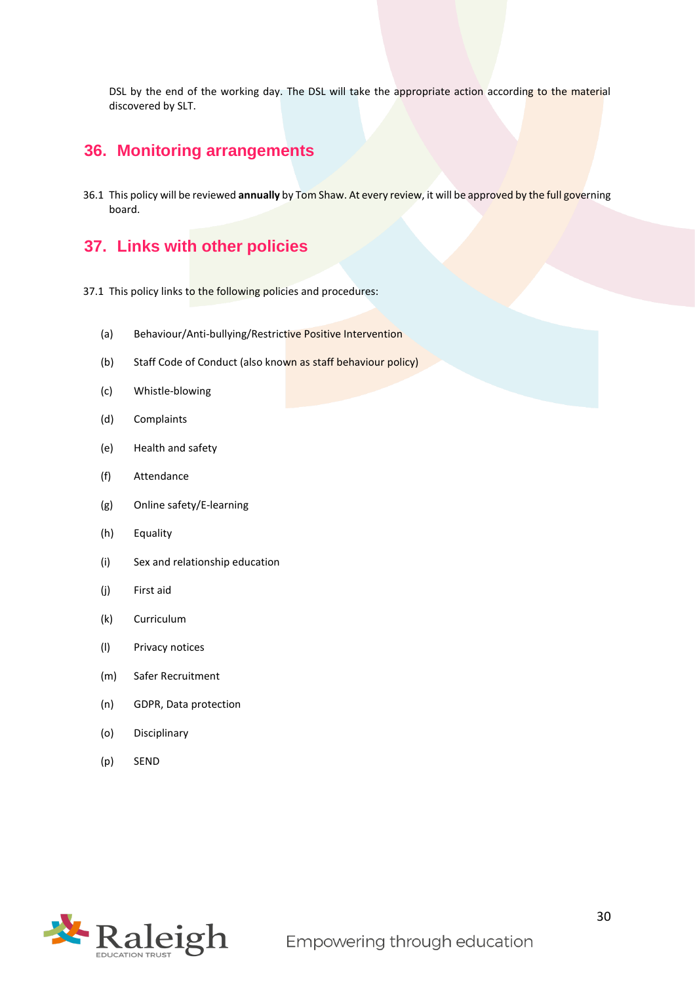DSL by the end of the working day. The DSL will take the appropriate action according to the material discovered by SLT.

## <span id="page-29-0"></span>**36. Monitoring arrangements**

36.1 This policy will be reviewed **annually** by Tom Shaw. At every review, it will be approved by the full governing board.

## <span id="page-29-1"></span>**37. Links with other policies**

- 37.1 This policy links to the following policies and procedures:
	- (a) Behaviour/Anti-bullying/Restrictive Positive Intervention
	- (b) Staff Code of Conduct (also known as staff behaviour policy)
	- (c) Whistle-blowing
	- (d) Complaints
	- (e) Health and safety
	- (f) Attendance
	- (g) Online safety/E-learning
	- (h) Equality
	- (i) Sex and relationship education
	- (j) First aid
	- (k) Curriculum
	- (l) Privacy notices
	- (m) Safer Recruitment
	- (n) GDPR, Data protection
	- (o) Disciplinary
	- (p) SEND

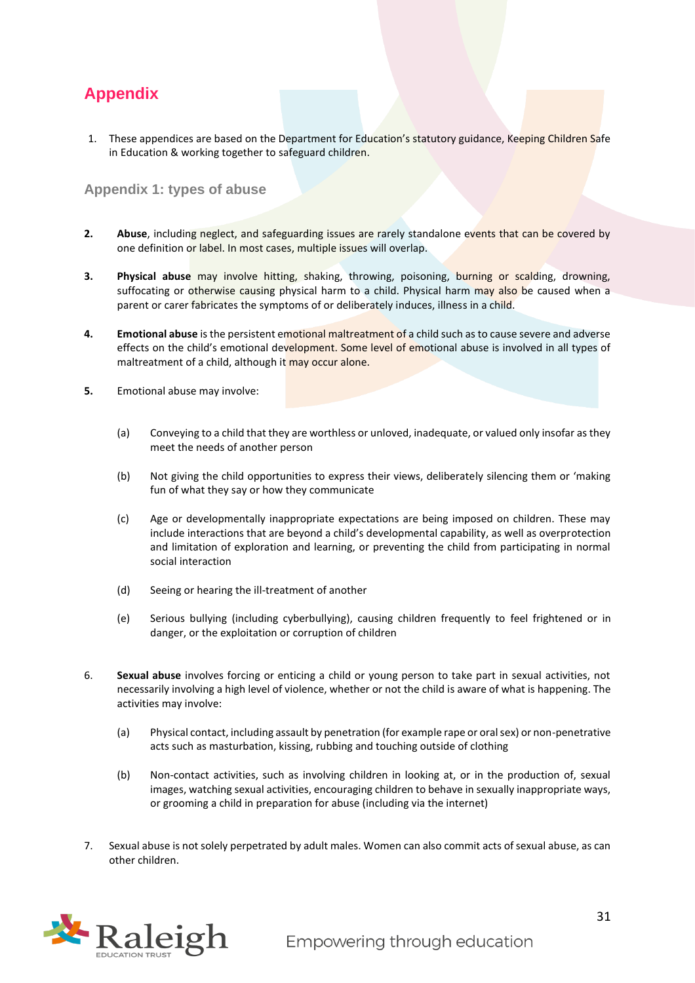## <span id="page-30-0"></span>**Appendix**

1. These appendices are based on the Department for Education's statutory guidance, Keeping Children Safe in Education & working together to safeguard children.

#### <span id="page-30-1"></span>**Appendix 1: types of abuse**

- **2. Abuse**, including neglect, and safeguarding issues are rarely standalone events that can be covered by one definition or label. In most cases, multiple issues will overlap.
- **3. Physical abuse** may involve hitting, shaking, throwing, poisoning, burning or scalding, drowning, suffocating or otherwise causing physical harm to a child. Physical harm may also be caused when a parent or carer fabricates the symptoms of or deliberately induces, illness in a child.
- **4. Emotional abuse** is the persistent emotional maltreatment of a child such as to cause severe and adverse effects on the child's emotional development. Some level of emotional abuse is involved in all types of maltreatment of a child, although it may occur alone.
- **5.** Emotional abuse may involve:
	- (a) Conveying to a child that they are worthless or unloved, inadequate, or valued only insofar as they meet the needs of another person
	- (b) Not giving the child opportunities to express their views, deliberately silencing them or 'making fun of what they say or how they communicate
	- (c) Age or developmentally inappropriate expectations are being imposed on children. These may include interactions that are beyond a child's developmental capability, as well as overprotection and limitation of exploration and learning, or preventing the child from participating in normal social interaction
	- (d) Seeing or hearing the ill-treatment of another
	- (e) Serious bullying (including cyberbullying), causing children frequently to feel frightened or in danger, or the exploitation or corruption of children
- 6. **Sexual abuse** involves forcing or enticing a child or young person to take part in sexual activities, not necessarily involving a high level of violence, whether or not the child is aware of what is happening. The activities may involve:
	- (a) Physical contact, including assault by penetration (for example rape or oral sex) or non-penetrative acts such as masturbation, kissing, rubbing and touching outside of clothing
	- (b) Non-contact activities, such as involving children in looking at, or in the production of, sexual images, watching sexual activities, encouraging children to behave in sexually inappropriate ways, or grooming a child in preparation for abuse (including via the internet)
- 7. Sexual abuse is not solely perpetrated by adult males. Women can also commit acts of sexual abuse, as can other children.

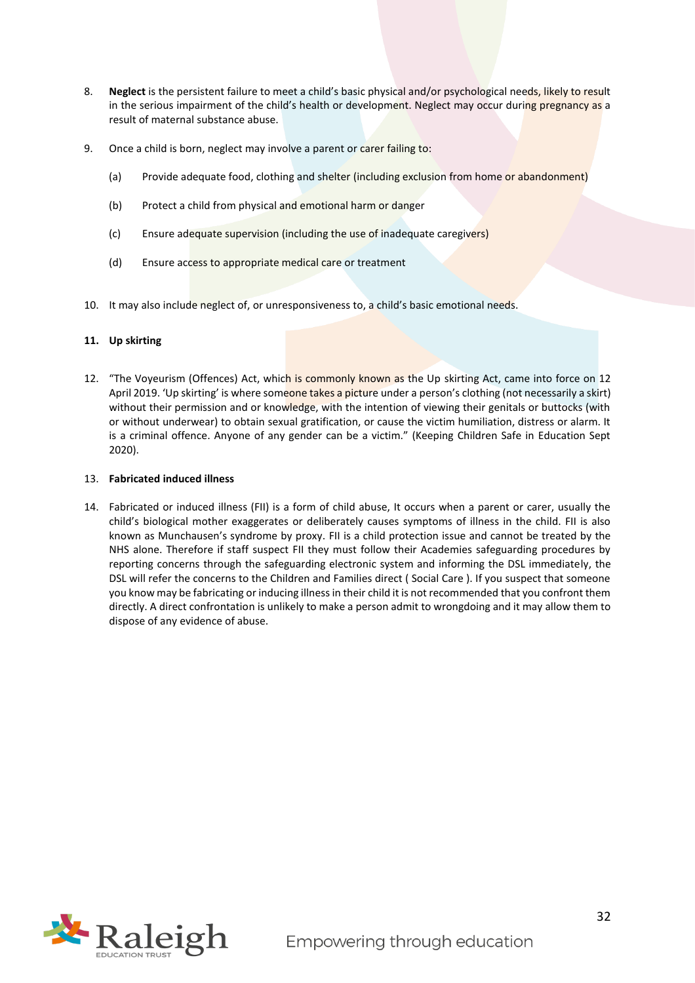- 8. **Neglect** is the persistent failure to meet a child's basic physical and/or psychological needs, likely to result in the serious impairment of the child's health or development. Neglect may occur during pregnancy as a result of maternal substance abuse.
- 9. Once a child is born, neglect may involve a parent or carer failing to:
	- (a) Provide adequate food, clothing and shelter (including exclusion from home or abandonment)
	- (b) Protect a child from physical and emotional harm or danger
	- (c) Ensure adequate supervision (including the use of inadequate caregivers)
	- (d) Ensure access to appropriate medical care or treatment
- 10. It may also include neglect of, or unresponsiveness to, a child's basic emotional needs.

#### **11. Up skirting**

12. "The Voyeurism (Offences) Act, which is commonly known as the Up skirting Act, came into force on 12 April 2019. 'Up skirting' is where someone takes a picture under a person's clothing (not necessarily a skirt) without their permission and or knowledge, with the intention of viewing their genitals or buttocks (with or without underwear) to obtain sexual gratification, or cause the victim humiliation, distress or alarm. It is a criminal offence. Anyone of any gender can be a victim." (Keeping Children Safe in Education Sept 2020).

#### 13. **Fabricated induced illness**

14. Fabricated or induced illness (FII) is a form of child abuse, It occurs when a parent or carer, usually the child's biological mother exaggerates or deliberately causes symptoms of illness in the child. FII is also known as Munchausen's syndrome by proxy. FII is a child protection issue and cannot be treated by the NHS alone. Therefore if staff suspect FII they must follow their Academies safeguarding procedures by reporting concerns through the safeguarding electronic system and informing the DSL immediately, the DSL will refer the concerns to the Children and Families direct ( Social Care ). If you suspect that someone you know may be fabricating or inducing illness in their child it is not recommended that you confront them directly. A direct confrontation is unlikely to make a person admit to wrongdoing and it may allow them to dispose of any evidence of abuse.

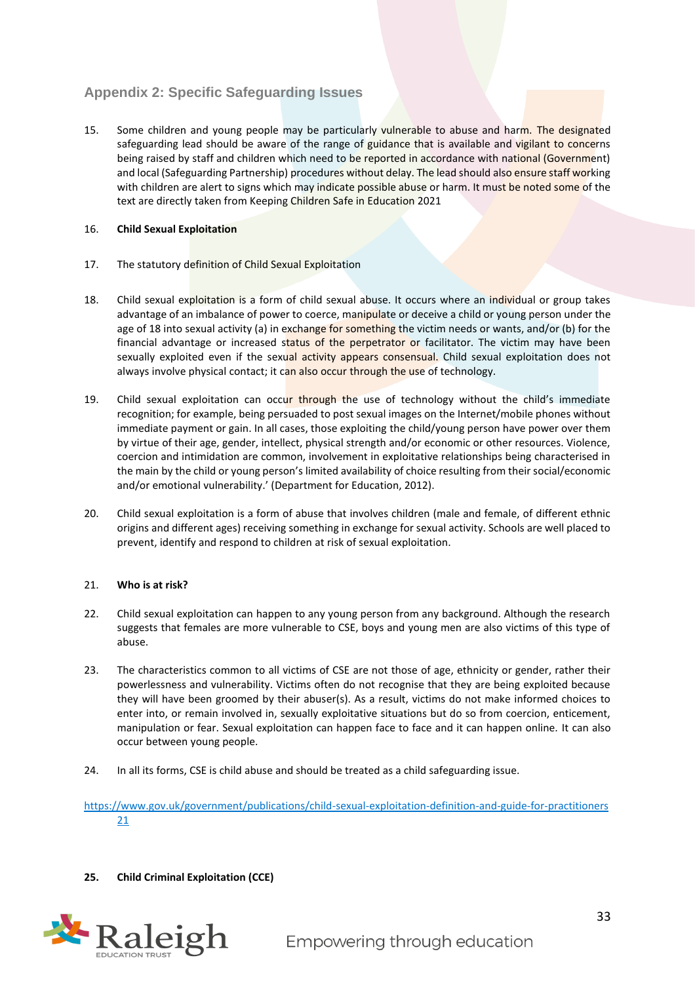## <span id="page-32-0"></span>**Appendix 2: Specific Safeguarding Issues**

15. Some children and young people may be particularly vulnerable to abuse and harm. The designated safeguarding lead should be aware of the range of guidance that is available and vigilant to concerns being raised by staff and children which need to be reported in accordance with national (Government) and local (Safeguarding Partnership) procedures without delay. The lead should also ensure staff working with children are alert to signs which may indicate possible abuse or harm. It must be noted some of the text are directly taken from Keeping Children Safe in Education 2021

#### 16. **Child Sexual Exploitation**

- 17. The statutory definition of Child Sexual Exploitation
- 18. Child sexual exploitation is a form of child sexual abuse. It occurs where an individual or group takes advantage of an imbalance of power to coerce, manipulate or deceive a child or young person under the age of 18 into sexual activity (a) in exchange for something the victim needs or wants, and/or (b) for the financial advantage or increased status of the perpetrator or facilitator. The victim may have been sexually exploited even if the sexual activity appears consensual. Child sexual exploitation does not always involve physical contact; it can also occur through the use of technology.
- 19. Child sexual exploitation can occur through the use of technology without the child's immediate recognition; for example, being persuaded to post sexual images on the Internet/mobile phones without immediate payment or gain. In all cases, those exploiting the child/young person have power over them by virtue of their age, gender, intellect, physical strength and/or economic or other resources. Violence, coercion and intimidation are common, involvement in exploitative relationships being characterised in the main by the child or young person's limited availability of choice resulting from their social/economic and/or emotional vulnerability.' (Department for Education, 2012).
- 20. Child sexual exploitation is a form of abuse that involves children (male and female, of different ethnic origins and different ages) receiving something in exchange for sexual activity. Schools are well placed to prevent, identify and respond to children at risk of sexual exploitation.

#### 21. **Who is at risk?**

- 22. Child sexual exploitation can happen to any young person from any background. Although the research suggests that females are more vulnerable to CSE, boys and young men are also victims of this type of abuse.
- 23. The characteristics common to all victims of CSE are not those of age, ethnicity or gender, rather their powerlessness and vulnerability. Victims often do not recognise that they are being exploited because they will have been groomed by their abuser(s). As a result, victims do not make informed choices to enter into, or remain involved in, sexually exploitative situations but do so from coercion, enticement, manipulation or fear. Sexual exploitation can happen face to face and it can happen online. It can also occur between young people.
- 24. In all its forms, CSE is child abuse and should be treated as a child safeguarding issue.

[https://www.gov.uk/government/publications/child-sexual-exploitation-definition-and-guide-for-practitioners](https://www.gov.uk/government/publications/child-sexual-exploitation-definition-and-guide-for-practitioners%2021)  [21](https://www.gov.uk/government/publications/child-sexual-exploitation-definition-and-guide-for-practitioners%2021)

#### **25. Child Criminal Exploitation (CCE)**

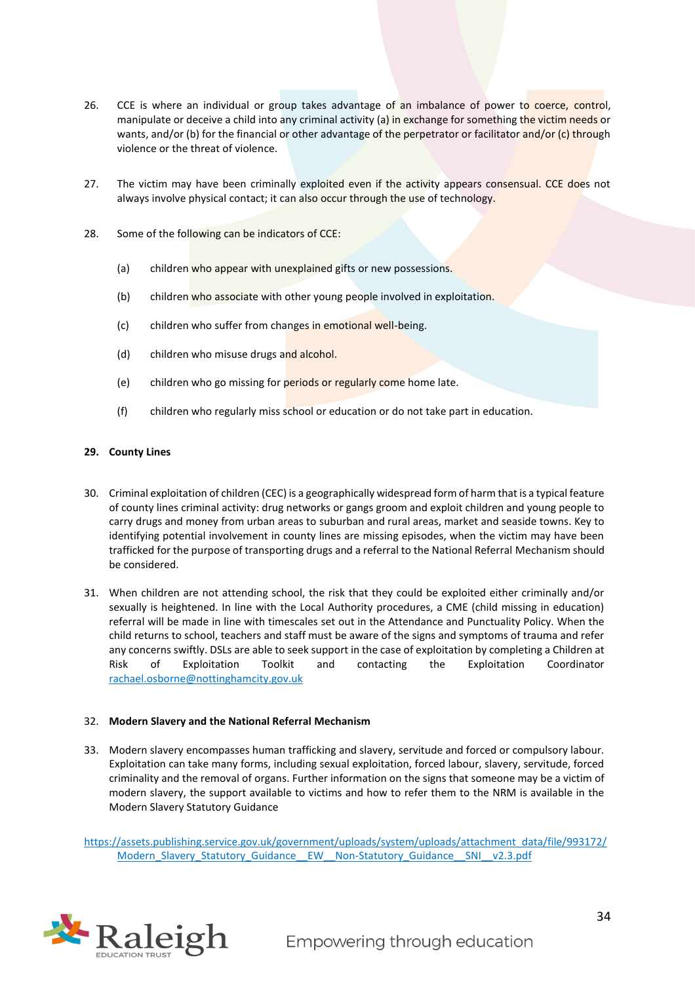- 26. CCE is where an individual or group takes advantage of an imbalance of power to coerce, control, manipulate or deceive a child into any criminal activity (a) in exchange for something the victim needs or wants, and/or (b) for the financial or other advantage of the perpetrator or facilitator and/or (c) through violence or the threat of violence.
- 27. The victim may have been criminally exploited even if the activity appears consensual. CCE does not always involve physical contact; it can also occur through the use of technology.
- 28. Some of the following can be indicators of CCE:
	- (a) children who appear with unexplained gifts or new possessions.
	- (b) children who associate with other young people involved in exploitation.
	- (c) children who suffer from changes in emotional well-being.
	- (d) children who misuse drugs and alcohol.
	- (e) children who go missing for periods or regularly come home late.
	- (f) children who regularly miss school or education or do not take part in education.

#### **29. County Lines**

- 30. Criminal exploitation of children (CEC) is a geographically widespread form of harm that is a typical feature of county lines criminal activity: drug networks or gangs groom and exploit children and young people to carry drugs and money from urban areas to suburban and rural areas, market and seaside towns. Key to identifying potential involvement in county lines are missing episodes, when the victim may have been trafficked for the purpose of transporting drugs and a referral to the National Referral Mechanism should be considered.
- 31. When children are not attending school, the risk that they could be exploited either criminally and/or sexually is heightened. In line with the Local Authority procedures, a CME (child missing in education) referral will be made in line with timescales set out in the Attendance and Punctuality Policy. When the child returns to school, teachers and staff must be aware of the signs and symptoms of trauma and refer any concerns swiftly. DSLs are able to seek support in the case of exploitation by completing a Children at Risk of Exploitation Toolkit and contacting the Exploitation Coordinator [rachael.osborne@nottinghamcity.gov.uk](mailto:rachael.osborne@nottinghamcity.gov.uk)

#### 32. **Modern Slavery and the National Referral Mechanism**

33. Modern slavery encompasses human trafficking and slavery, servitude and forced or compulsory labour. Exploitation can take many forms, including sexual exploitation, forced labour, slavery, servitude, forced criminality and the removal of organs. Further information on the signs that someone may be a victim of modern slavery, the support available to victims and how to refer them to the NRM is available in the Modern Slavery Statutory Guidance

[https://assets.publishing.service.gov.uk/government/uploads/system/uploads/attachment\\_data/file/993172/](https://assets.publishing.service.gov.uk/government/uploads/system/uploads/attachment_data/file/993172/Modern_Slavery_Statutory_Guidance__EW__Non-Statutory_Guidance__SNI__v2.3.pdf) [Modern\\_Slavery\\_Statutory\\_Guidance\\_\\_EW\\_\\_Non-Statutory\\_Guidance\\_\\_SNI\\_\\_v2.3.pdf](https://assets.publishing.service.gov.uk/government/uploads/system/uploads/attachment_data/file/993172/Modern_Slavery_Statutory_Guidance__EW__Non-Statutory_Guidance__SNI__v2.3.pdf)

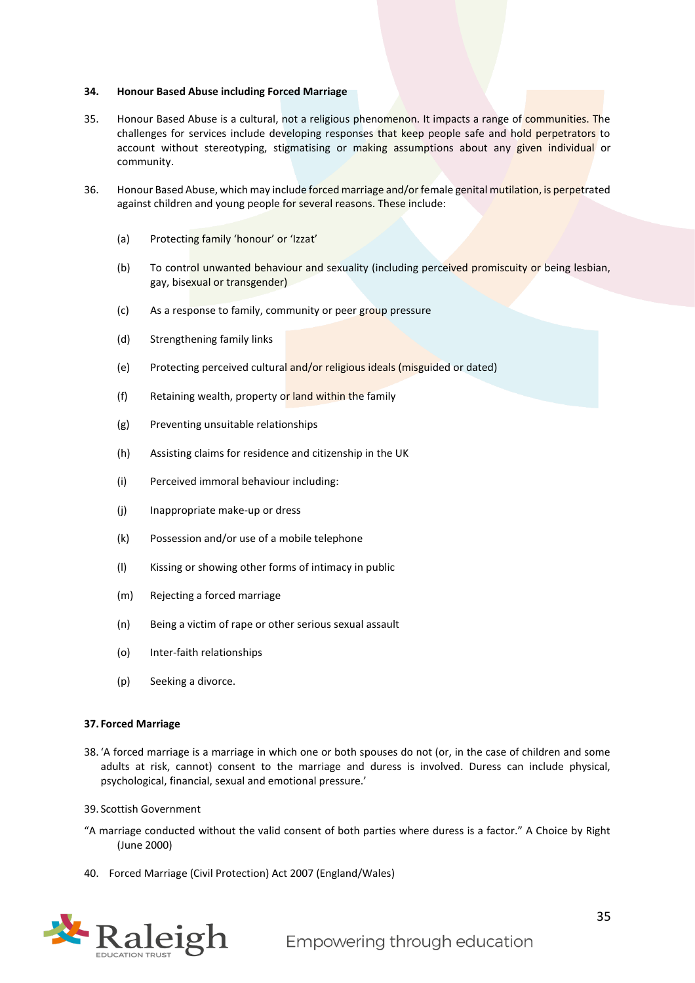#### **34. Honour Based Abuse including Forced Marriage**

- 35. Honour Based Abuse is a cultural, not a religious phenomenon. It impacts a range of communities. The challenges for services include developing responses that keep people safe and hold perpetrators to account without stereotyping, stigmatising or making assumptions about any given individual or community.
- 36. Honour Based Abuse, which may include forced marriage and/or female genital mutilation, is perpetrated against children and young people for several reasons. These include:
	- (a) Protecting family 'honour' or 'Izzat'
	- (b) To control unwanted behaviour and sexuality (including perceived promiscuity or being lesbian, gay, bisexual or transgender)
	- (c) As a response to family, community or peer group pressure
	- (d) Strengthening family links
	- (e) Protecting perceived cultural and/or religious ideals (misguided or dated)
	- (f) Retaining wealth, property or land within the family
	- (g) Preventing unsuitable relationships
	- (h) Assisting claims for residence and citizenship in the UK
	- (i) Perceived immoral behaviour including:
	- (j) Inappropriate make-up or dress
	- (k) Possession and/or use of a mobile telephone
	- (l) Kissing or showing other forms of intimacy in public
	- (m) Rejecting a forced marriage
	- (n) Being a victim of rape or other serious sexual assault
	- (o) Inter-faith relationships
	- (p) Seeking a divorce.

#### **37. Forced Marriage**

- 38. 'A forced marriage is a marriage in which one or both spouses do not (or, in the case of children and some adults at risk, cannot) consent to the marriage and duress is involved. Duress can include physical, psychological, financial, sexual and emotional pressure.'
- 39. Scottish Government
- "A marriage conducted without the valid consent of both parties where duress is a factor." A Choice by Right (June 2000)
- 40. Forced Marriage (Civil Protection) Act 2007 (England/Wales)

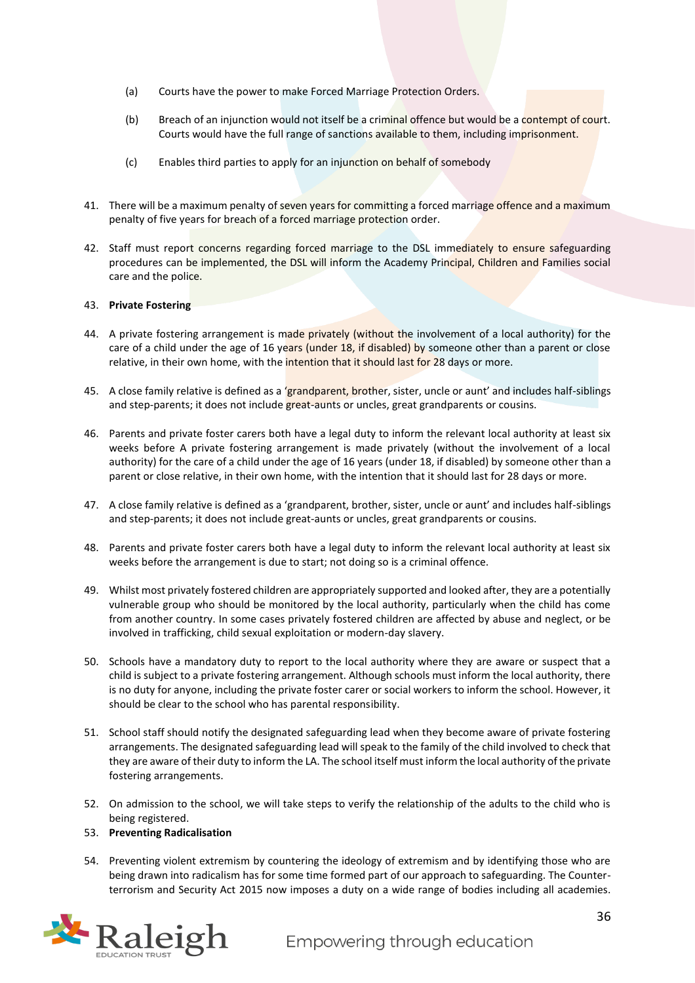- (a) Courts have the power to make Forced Marriage Protection Orders.
- (b) Breach of an injunction would not itself be a criminal offence but would be a contempt of court. Courts would have the full range of sanctions available to them, including imprisonment.
- (c) Enables third parties to apply for an injunction on behalf of somebody
- 41. There will be a maximum penalty of seven years for committing a forced marriage offence and a maximum penalty of five years for breach of a forced marriage protection order.
- 42. Staff must report concerns regarding forced marriage to the DSL immediately to ensure safeguarding procedures can be implemented, the DSL will inform the Academy Principal, Children and Families social care and the police.

#### 43. **Private Fostering**

- 44. A private fostering arrangement is made privately (without the involvement of a local authority) for the care of a child under the age of 16 years (under 18, if disabled) by someone other than a parent or close relative, in their own home, with the intention that it should last for 28 days or more.
- 45. A close family relative is defined as a 'grandparent, brother, sister, uncle or aunt' and includes half-siblings and step-parents; it does not include great-aunts or uncles, great grandparents or cousins.
- 46. Parents and private foster carers both have a legal duty to inform the relevant local authority at least six weeks before A private fostering arrangement is made privately (without the involvement of a local authority) for the care of a child under the age of 16 years (under 18, if disabled) by someone other than a parent or close relative, in their own home, with the intention that it should last for 28 days or more.
- 47. A close family relative is defined as a 'grandparent, brother, sister, uncle or aunt' and includes half-siblings and step-parents; it does not include great-aunts or uncles, great grandparents or cousins.
- 48. Parents and private foster carers both have a legal duty to inform the relevant local authority at least six weeks before the arrangement is due to start; not doing so is a criminal offence.
- 49. Whilst most privately fostered children are appropriately supported and looked after, they are a potentially vulnerable group who should be monitored by the local authority, particularly when the child has come from another country. In some cases privately fostered children are affected by abuse and neglect, or be involved in trafficking, child sexual exploitation or modern-day slavery.
- 50. Schools have a mandatory duty to report to the local authority where they are aware or suspect that a child is subject to a private fostering arrangement. Although schools must inform the local authority, there is no duty for anyone, including the private foster carer or social workers to inform the school. However, it should be clear to the school who has parental responsibility.
- 51. School staff should notify the designated safeguarding lead when they become aware of private fostering arrangements. The designated safeguarding lead will speak to the family of the child involved to check that they are aware of their duty to inform the LA. The school itself must inform the local authority of the private fostering arrangements.
- 52. On admission to the school, we will take steps to verify the relationship of the adults to the child who is being registered.

#### 53. **Preventing Radicalisation**

54. Preventing violent extremism by countering the ideology of extremism and by identifying those who are being drawn into radicalism has for some time formed part of our approach to safeguarding. The Counterterrorism and Security Act 2015 now imposes a duty on a wide range of bodies including all academies.

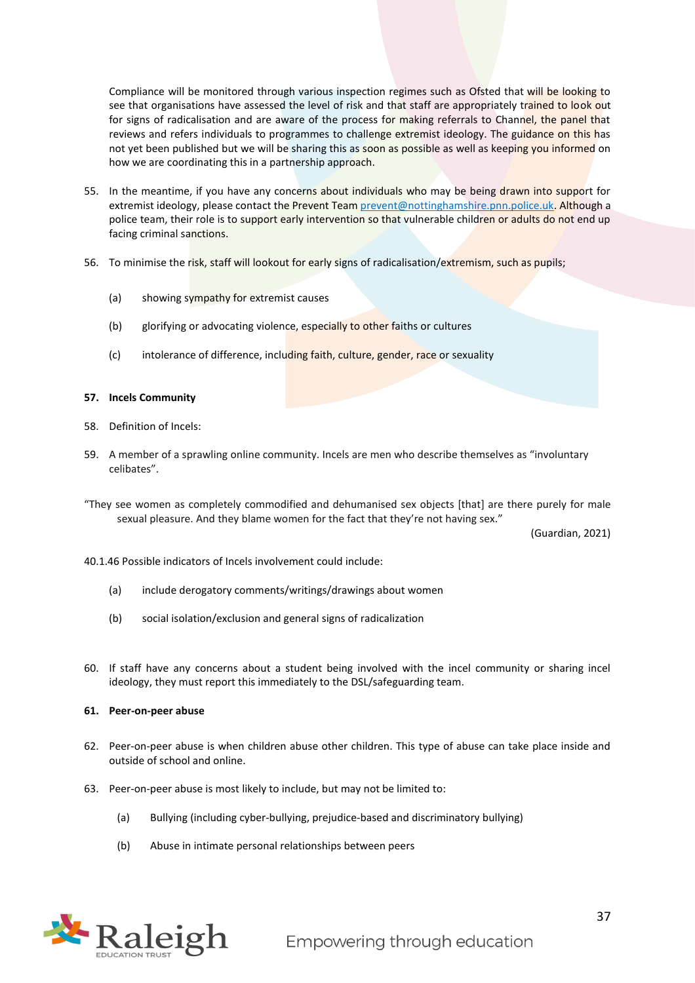Compliance will be monitored through various inspection regimes such as Ofsted that will be looking to see that organisations have assessed the level of risk and that staff are appropriately trained to look out for signs of radicalisation and are aware of the process for making referrals to Channel, the panel that reviews and refers individuals to programmes to challenge extremist ideology. The guidance on this has not yet been published but we will be sharing this as soon as possible as well as keeping you informed on how we are coordinating this in a partnership approach.

- 55. In the meantime, if you have any concerns about individuals who may be being drawn into support for extremist ideology, please contact the Prevent Tea[m prevent@nottinghamshire.pnn.police.uk.](mailto:prevent@nottinghamshire.pnn.police.uk) Although a police team, their role is to support early intervention so that vulnerable children or adults do not end up facing criminal sanctions.
- 56. To minimise the risk, staff will lookout for early signs of radicalisation/extremism, such as pupils;
	- (a) showing sympathy for extremist causes
	- (b) glorifying or advocating violence, especially to other faiths or cultures
	- (c) intolerance of difference, including faith, culture, gender, race or sexuality

#### **57. Incels Community**

- 58. Definition of Incels:
- 59. A member of a sprawling online community. Incels are men who describe themselves as "involuntary celibates".
- "They see women as completely commodified and dehumanised sex objects [that] are there purely for male sexual pleasure. And they blame women for the fact that they're not having sex."

(Guardian, 2021)

40.1.46 Possible indicators of Incels involvement could include:

- (a) include derogatory comments/writings/drawings about women
- (b) social isolation/exclusion and general signs of radicalization
- 60. If staff have any concerns about a student being involved with the incel community or sharing incel ideology, they must report this immediately to the DSL/safeguarding team.

#### **61. Peer-on-peer abuse**

- 62. Peer-on-peer abuse is when children abuse other children. This type of abuse can take place inside and outside of school and online.
- 63. Peer-on-peer abuse is most likely to include, but may not be limited to:
	- (a) Bullying (including cyber-bullying, prejudice-based and discriminatory bullying)
	- (b) Abuse in intimate personal relationships between peers

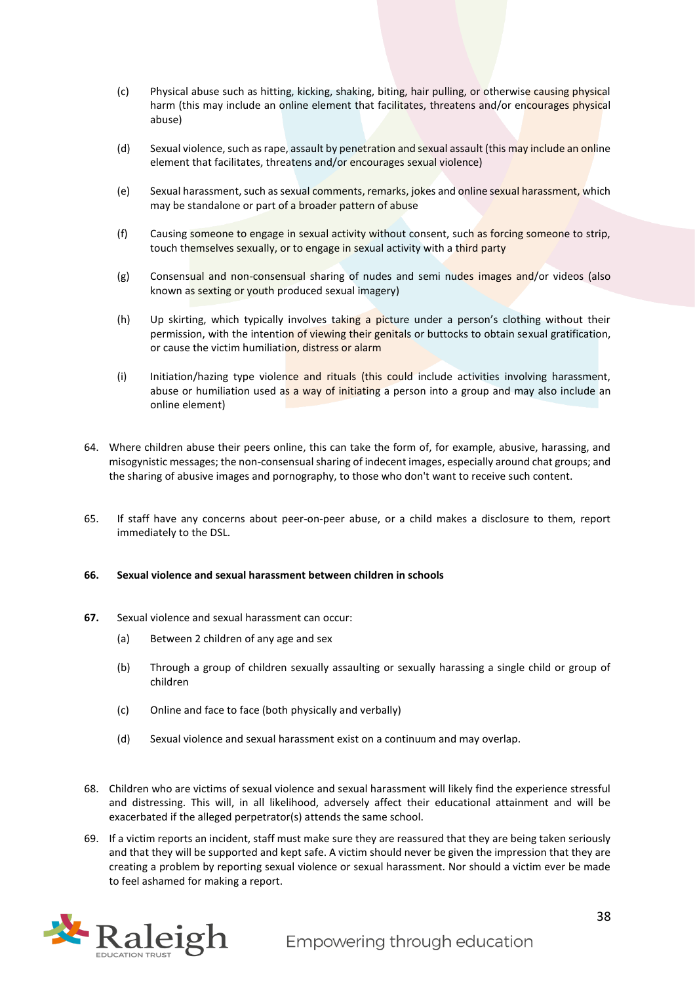- (c) Physical abuse such as hitting, kicking, shaking, biting, hair pulling, or otherwise causing physical harm (this may include an online element that facilitates, threatens and/or encourages physical abuse)
- (d) Sexual violence, such as rape, assault by penetration and sexual assault (this may include an online element that facilitates, threatens and/or encourages sexual violence)
- (e) Sexual harassment, such as sexual comments, remarks, jokes and online sexual harassment, which may be standalone or part of a broader pattern of abuse
- (f) Causing someone to engage in sexual activity without consent, such as forcing someone to strip, touch themselves sexually, or to engage in sexual activity with a third party
- (g) Consensual and non-consensual sharing of nudes and semi nudes images and/or videos (also known as sexting or youth produced sexual imagery)
- (h) Up skirting, which typically involves taking a picture under a person's clothing without their permission, with the intention of viewing their genitals or buttocks to obtain sexual gratification, or cause the victim humiliation, distress or alarm
- (i) Initiation/hazing type violence and rituals (this could include activities involving harassment, abuse or humiliation used as a way of initiating a person into a group and may also include an online element)
- 64. Where children abuse their peers online, this can take the form of, for example, abusive, harassing, and misogynistic messages; the non-consensual sharing of indecent images, especially around chat groups; and the sharing of abusive images and pornography, to those who don't want to receive such content.
- 65. If staff have any concerns about peer-on-peer abuse, or a child makes a disclosure to them, report immediately to the DSL.

#### **66. Sexual violence and sexual harassment between children in schools**

- **67.** Sexual violence and sexual harassment can occur:
	- (a) Between 2 children of any age and sex
	- (b) Through a group of children sexually assaulting or sexually harassing a single child or group of children
	- (c) Online and face to face (both physically and verbally)
	- (d) Sexual violence and sexual harassment exist on a continuum and may overlap.
- 68. Children who are victims of sexual violence and sexual harassment will likely find the experience stressful and distressing. This will, in all likelihood, adversely affect their educational attainment and will be exacerbated if the alleged perpetrator(s) attends the same school.
- 69. If a victim reports an incident, staff must make sure they are reassured that they are being taken seriously and that they will be supported and kept safe. A victim should never be given the impression that they are creating a problem by reporting sexual violence or sexual harassment. Nor should a victim ever be made to feel ashamed for making a report.

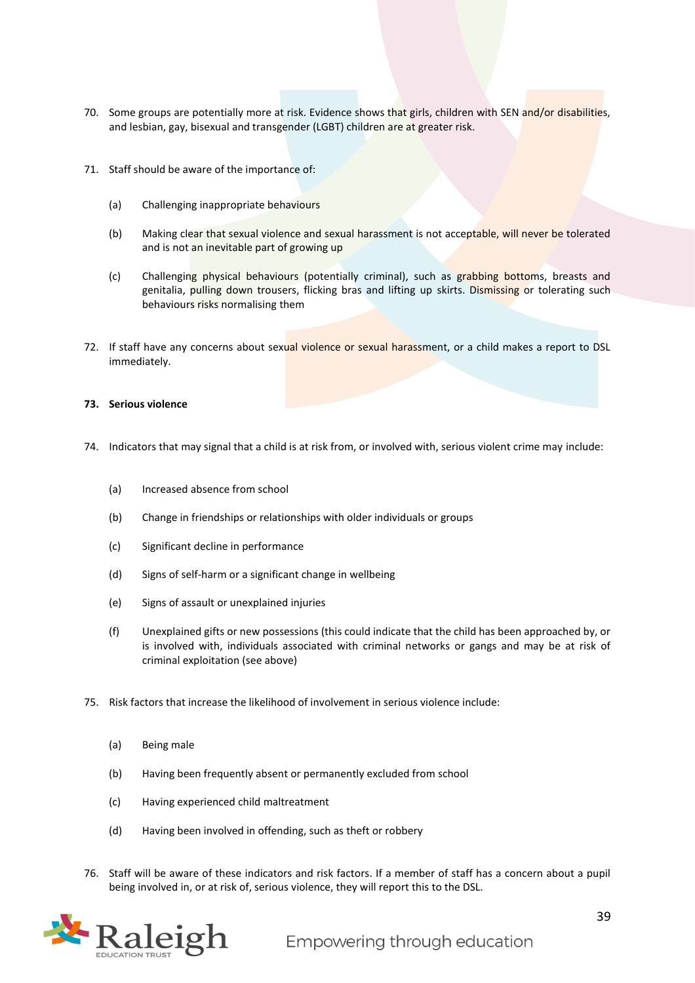- 70. Some groups are potentially more at risk. Evidence shows that girls, children with SEN and/or disabilities, and lesbian, gay, bisexual and transgender (LGBT) children are at greater risk.
- 71. Staff should be aware of the importance of:
	- (a) Challenging inappropriate behaviours
	- (b) Making clear that sexual violence and sexual harassment is not acceptable, will never be tolerated and is not an inevitable part of growing up
	- (c) Challenging physical behaviours (potentially criminal), such as grabbing bottoms, breasts and genitalia, pulling down trousers, flicking bras and lifting up skirts. Dismissing or tolerating such behaviours risks normalising them
- 72. If staff have any concerns about sexual violence or sexual harassment, or a child makes a report to DSL immediately.

#### **73. Serious violence**

- 74. Indicators that may signal that a child is at risk from, or involved with, serious violent crime may include:
	- (a) Increased absence from school
	- (b) Change in friendships or relationships with older individuals or groups
	- (c) Significant decline in performance
	- (d) Signs of self-harm or a significant change in wellbeing
	- (e) Signs of assault or unexplained injuries
	- (f) Unexplained gifts or new possessions (this could indicate that the child has been approached by, or is involved with, individuals associated with criminal networks or gangs and may be at risk of criminal exploitation (see above)
- 75. Risk factors that increase the likelihood of involvement in serious violence include:
	- (a) Being male
	- (b) Having been frequently absent or permanently excluded from school
	- (c) Having experienced child maltreatment
	- (d) Having been involved in offending, such as theft or robbery
- 76. Staff will be aware of these indicators and risk factors. If a member of staff has a concern about a pupil being involved in, or at risk of, serious violence, they will report this to the DSL.

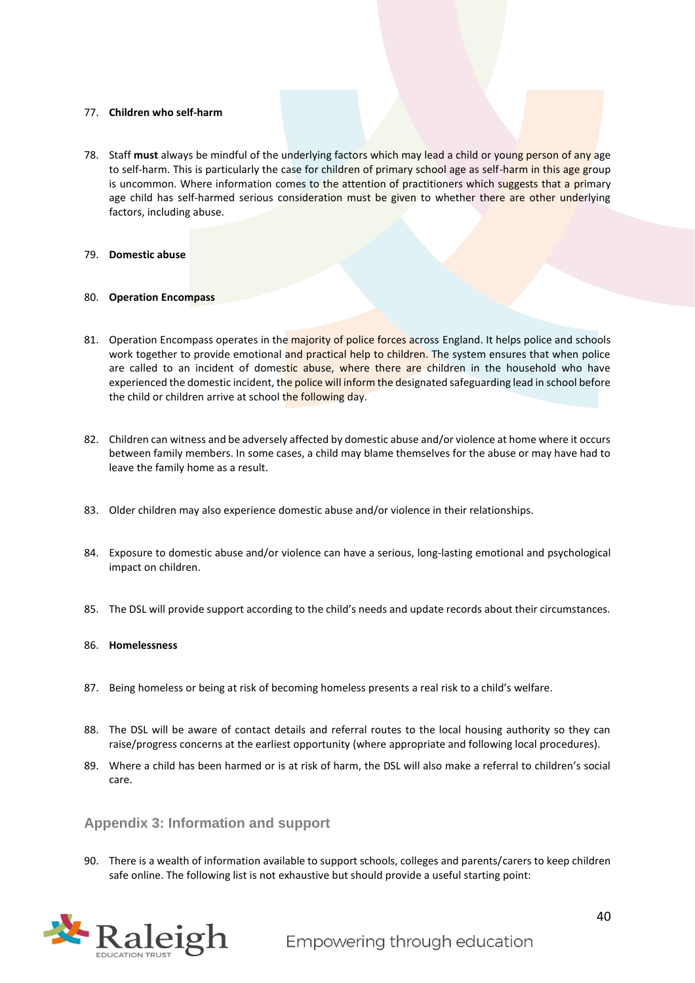#### 77. **Children who self-harm**

78. Staff **must** always be mindful of the underlying factors which may lead a child or young person of any age to self-harm. This is particularly the case for children of primary school age as self-harm in this age group is uncommon. Where information comes to the attention of practitioners which suggests that a primary age child has self-harmed serious consideration must be given to whether there are other underlying factors, including abuse.

#### 79. **Domestic abuse**

#### 80. **Operation Encompass**

- 81. Operation Encompass operates in the majority of police forces across England. It helps police and schools work together to provide emotional and practical help to children. The system ensures that when police are called to an incident of domestic abuse, where there are children in the household who have experienced the domestic incident, the police will inform the designated safeguarding lead in school before the child or children arrive at school the following day.
- 82. Children can witness and be adversely affected by domestic abuse and/or violence at home where it occurs between family members. In some cases, a child may blame themselves for the abuse or may have had to leave the family home as a result.
- 83. Older children may also experience domestic abuse and/or violence in their relationships.
- 84. Exposure to domestic abuse and/or violence can have a serious, long-lasting emotional and psychological impact on children.
- 85. The DSL will provide support according to the child's needs and update records about their circumstances.

#### 86. **Homelessness**

- 87. Being homeless or being at risk of becoming homeless presents a real risk to a child's welfare.
- 88. The DSL will be aware of contact details and referral routes to the local housing authority so they can raise/progress concerns at the earliest opportunity (where appropriate and following local procedures).
- 89. Where a child has been harmed or is at risk of harm, the DSL will also make a referral to children's social care.

#### <span id="page-39-0"></span>**Appendix 3: Information and support**

90. There is a wealth of information available to support schools, colleges and parents/carers to keep children safe online. The following list is not exhaustive but should provide a useful starting point:

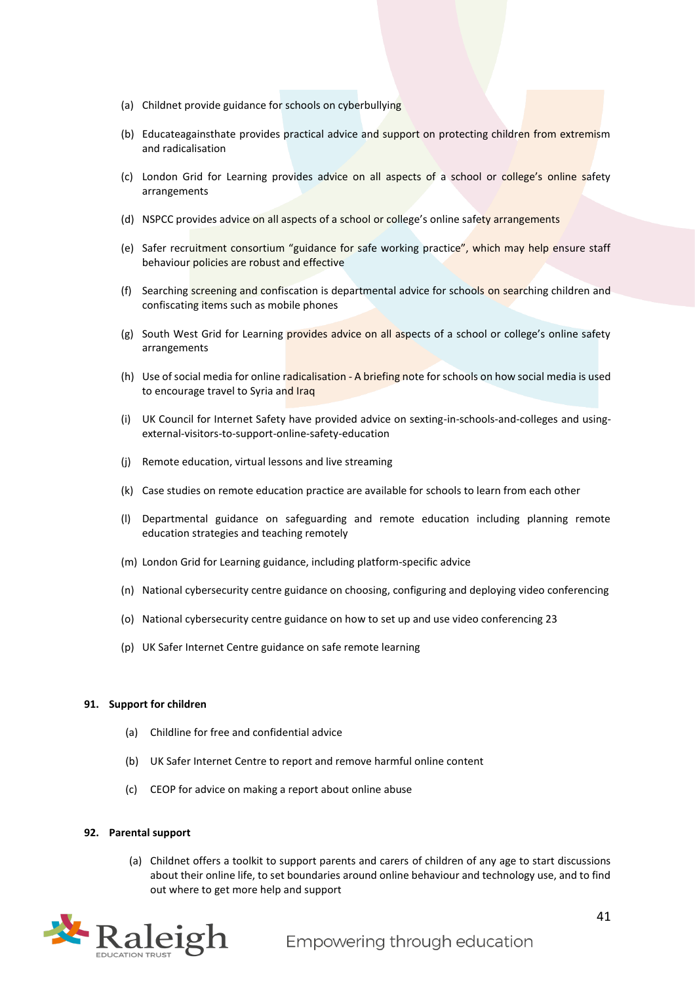- (a) Childnet provide guidance for schools on cyberbullying
- (b) Educateagainsthate provides practical advice and support on protecting children from extremism and radicalisation
- (c) London Grid for Learning provides advice on all aspects of a school or college's online safety arrangements
- (d) NSPCC provides advice on all aspects of a school or college's online safety arrangements
- (e) Safer recruitment consortium "guidance for safe working practice", which may help ensure staff behaviour policies are robust and effective
- (f) Searching screening and confiscation is departmental advice for schools on searching children and confiscating items such as mobile phones
- (g) South West Grid for Learning provides advice on all aspects of a school or college's online safety arrangements
- (h) Use of social media for online radicalisation A briefing note for schools on how social media is used to encourage travel to Syria and Iraq
- (i) UK Council for Internet Safety have provided advice on sexting-in-schools-and-colleges and usingexternal-visitors-to-support-online-safety-education
- (j) Remote education, virtual lessons and live streaming
- (k) Case studies on remote education practice are available for schools to learn from each other
- (l) Departmental guidance on safeguarding and remote education including planning remote education strategies and teaching remotely
- (m) London Grid for Learning guidance, including platform-specific advice
- (n) National cybersecurity centre guidance on choosing, configuring and deploying video conferencing
- (o) National cybersecurity centre guidance on how to set up and use video conferencing 23
- (p) UK Safer Internet Centre guidance on safe remote learning

#### **91. Support for children**

- (a) Childline for free and confidential advice
- (b) UK Safer Internet Centre to report and remove harmful online content
- (c) CEOP for advice on making a report about online abuse

#### **92. Parental support**

(a) Childnet offers a toolkit to support parents and carers of children of any age to start discussions about their online life, to set boundaries around online behaviour and technology use, and to find out where to get more help and support